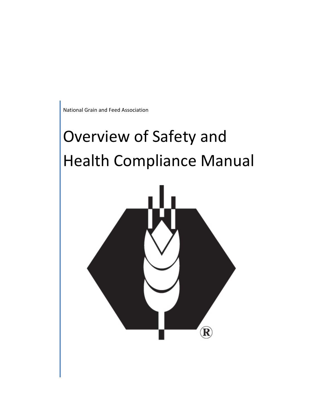National Grain and Feed Association

# Overview of Safety and Health Compliance Manual

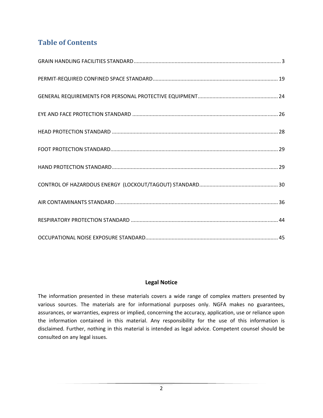#### **Table of Contents**

#### **Legal Notice**

The information presented in these materials covers a wide range of complex matters presented by various sources. The materials are for informational purposes only. NGFA makes no guarantees, assurances, or warranties, express or implied, concerning the accuracy, application, use or reliance upon the information contained in this material. Any responsibility for the use of this information is disclaimed. Further, nothing in this material is intended as legal advice. Competent counsel should be consulted on any legal issues.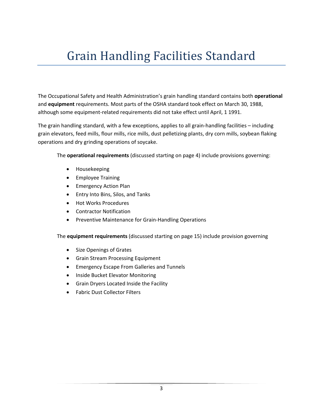# Grain Handling Facilities Standard

The Occupational Safety and Health Administration's grain handling standard contains both **operational** and **equipment** requirements. Most parts of the OSHA standard took effect on March 30, 1988, although some equipment‐related requirements did not take effect until April, 1 1991.

The grain handling standard, with a few exceptions, applies to all grain-handling facilities – including grain elevators, feed mills, flour mills, rice mills, dust pelletizing plants, dry corn mills, soybean flaking operations and dry grinding operations of soycake.

The **operational requirements** (discussed starting on page 4) include provisions governing:

- **•** Housekeeping
- **•** Employee Training
- Emergency Action Plan
- Entry Into Bins, Silos, and Tanks
- Hot Works Procedures
- Contractor Notification
- Preventive Maintenance for Grain-Handling Operations

The **equipment requirements** (discussed starting on page 15) include provision governing

- Size Openings of Grates
- Grain Stream Processing Equipment
- **•** Emergency Escape From Galleries and Tunnels
- Inside Bucket Elevator Monitoring
- Grain Dryers Located Inside the Facility
- Fabric Dust Collector Filters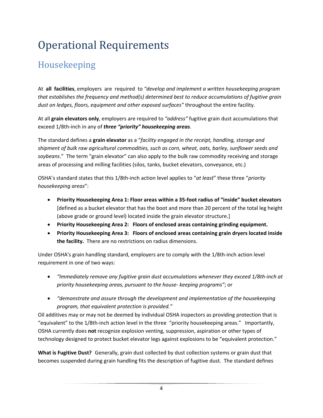# **Operational Requirements**

## Housekeeping

At **all facilities**, employers are required to *"develop and implement a written housekeeping program that establishes the frequency and method(s) determined best to reduce accumulations of fugitive grain dust on ledges, floors, equipment and other exposed surfaces"* throughout the entire facility.

At all **grain elevators only**, employers are required to *"address"* fugitive grain dust accumulations that exceed 1/8th‐inch in any of *three "priority" housekeeping areas*.

The standard defines a **grain elevator** as a "*facility engaged in the receipt, handling, storage and shipment of bulk raw agricultural commodities, such as corn, wheat, oats, barley, sunflower seeds and soybeans*." The term "grain elevator" can also apply to the bulk raw commodity receiving and storage areas of processing and milling facilities (silos, tanks, bucket elevators, conveyance, etc.)

OSHA's standard states that this 1/8th‐inch action level applies to "*at least*" these three "*priority housekeeping areas*":

- **Priority Housekeeping Area 1: Floor areas within a 35‐foot radius of "inside" bucket elevators**  [defined as a bucket elevator that has the boot and more than 20 percent of the total leg height (above grade or ground level) located inside the grain elevator structure.]
- **Priority Housekeeping Area 2: Floors of enclosed areas containing grinding equipment.**
- **Priority Housekeeping Area 3: Floors of enclosed areas containing grain dryers located inside**  the facility. There are no restrictions on radius dimensions.

Under OSHA's grain handling standard, employers are to comply with the 1/8th‐inch action level requirement in one of two ways:

- *"Immediately remove any fugitive grain dust accumulations whenever they exceed 1/8th‐inch at priority housekeeping areas, pursuant to the house‐ keeping programs"*; or
- *"demonstrate and assure through the development and implementation of the housekeeping program, that equivalent protection is provided."*

Oil additives may or may not be deemed by individual OSHA inspectors as providing protection that is "equivalent" to the 1/8th‐inch action level in the three "priority housekeeping areas." Importantly, OSHA currently does **not** recognize explosion venting, suppression, aspiration or other types of technology designed to protect bucket elevator legs against explosions to be "equivalent protection."

**What is Fugitive Dust?**  Generally, grain dust collected by dust collection systems or grain dust that becomes suspended during grain handling fits the description of fugitive dust. The standard defines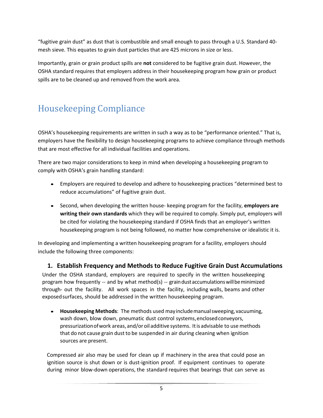"fugitive grain dust" as dust that is combustible and small enough to pass through a U.S. Standard 40‐ mesh sieve. This equates to grain dust particles that are 425 microns in size or less.

Importantly, grain or grain product spills are **not** considered to be fugitive grain dust. However, the OSHA standard requires that employers address in their housekeeping program how grain or product spills are to be cleaned up and removed from the work area.

# Housekeeping Compliance

OSHA's housekeeping requirements are written in such a way as to be "performance oriented." That is, employers have the flexibility to design housekeeping programs to achieve compliance through methods that are most effective for all individual facilities and operations.

There are two major considerations to keep in mind when developing a housekeeping program to comply with OSHA's grain handling standard:

- Employers are required to develop and adhere to housekeeping practices "determined best to reduce accumulations" of fugitive grain dust.
- Second, when developing the written house-keeping program for the facility, **employers are writing their own standards** which they will be required to comply. Simply put, employers will be cited for violating the housekeeping standard if OSHA finds that an employer's written housekeeping program is not being followed, no matter how comprehensive or idealistic it is.

In developing and implementing a written housekeeping program for a facility, employers should include the following three components:

#### **1. Establish Frequency and Methods to Reduce Fugitive Grain Dust Accumulations**

Under the OSHA standard, employers are required to specify in the written housekeeping program how frequently ‐‐ and by what method(s) ‐‐ grain dust accumulations will be minimized through‐ out the facility. All work spaces in the facility, including walls, beams and other exposed surfaces, should be addressed in the written housekeeping program.

 **Housekeeping Methods**: The methods used may include manual sweeping, vacuuming, wash down, blow down, pneumatic dust control systems, enclosed conveyors, pressurization of work areas, and/or oil additive systems. It is advisable to use methods that do not cause grain dust to be suspended in air during cleaning when ignition sources are present.

Compressed air also may be used for clean up if machinery in the area that could pose an ignition source is shut down or is dust-ignition proof. If equipment continues to operate during minor blow-down operations, the standard requires that bearings that can serve as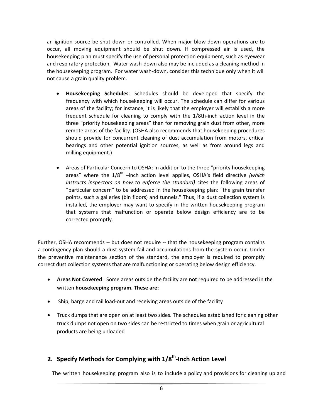an ignition source be shut down or controlled. When major blow-down operations are to occur, all moving equipment should be shut down. If compressed air is used, the housekeeping plan must specify the use of personal protection equipment, such as eyewear and respiratory protection. Water wash‐down also may be included as a cleaning method in the housekeeping program. For water wash-down, consider this technique only when it will not cause a grain quality problem.

- **Housekeeping Schedules**: Schedules should be developed that specify the frequency with which housekeeping will occur. The schedule can differ for various areas of the facility; for instance, it is likely that the employer will establish a more frequent schedule for cleaning to comply with the 1/8th-inch action level in the three "priority housekeeping areas" than for removing grain dust from other, more remote areas of the facility. (OSHA also recommends that housekeeping procedures should provide for concurrent cleaning of dust accumulation from motors, critical bearings and other potential ignition sources, as well as from around legs and milling equipment.)
- Areas of Particular Concern to OSHA: In addition to the three "priority housekeeping areas" where the  $1/8^{\text{th}}$  -inch action level applies, OSHA's field directive *(which* instructs inspectors on how to enforce the standard) cites the following areas of "particular concern" to be addressed in the housekeeping plan: "the grain transfer points, such a galleries (bin floors) and tunnels." Thus, if a dust collection system is installed, the employer may want to specify in the written housekeeping program that systems that malfunction or operate below design efficiency are to be corrected promptly.

Further, OSHA recommends ‐‐ but does not require ‐‐ that the housekeeping program contains a contingency plan should a dust system fail and accumulations from the system occur. Under the preventive maintenance section of the standard, the employer is required to promptly correct dust collection systems that are malfunctioning or operating below design efficiency.

- **Areas Not Covered:** Some areas outside the facility are **not** required to be addressed in the written **housekeeping program. These are:**
- Ship, barge and rail load-out and receiving areas outside of the facility
- Truck dumps that are open on at least two sides. The schedules established for cleaning other truck dumps not open on two sides can be restricted to times when grain or agricultural products are being unloaded

#### **2. Specify Methods for Complying with 1/8<sup>th</sup>-Inch Action Level**

The written housekeeping program also is to include a policy and provisions for cleaning up and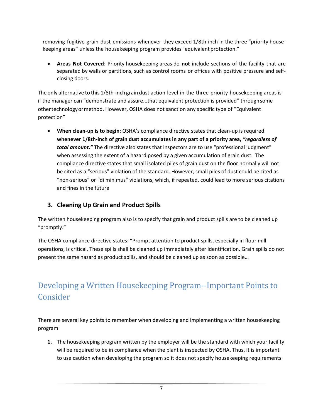removing fugitive grain dust emissions whenever they exceed 1/8th-inch in the three "priority housekeeping areas" unless the housekeeping program provides "equivalent protection."

**Areas Not Covered**: Priority housekeeping areas do not include sections of the facility that are separated by walls or partitions, such as control rooms or offices with positive pressure and self‐ closing doors.

The only alternative to this 1/8th‐inch grain dust action level in the three priority housekeeping areas is if the manager can "demonstrate and assure...that equivalent protection is provided" through some other technology or method. However, OSHA does not sanction any specific type of "Equivalent protection"

 **When clean‐up is to begin**: OSHA's compliance directive states that clean‐up is required **whenever 1/8th‐inch of grain dust accumulates in any part of a priority area,** *"regardless of total amount."* The directive also states that inspectors are to use "professional judgment" when assessing the extent of a hazard posed by a given accumulation of grain dust. The compliance directive states that small isolated piles of grain dust on the floor normally will not be cited as a "serious" violation of the standard. However, small piles of dust could be cited as "non‐serious" or "di minimus" violations, which, if repeated, could lead to more serious citations and fines in the future

#### **3. Cleaning Up Grain and Product Spills**

The written housekeeping program also is to specify that grain and product spills are to be cleaned up "promptly."

The OSHA compliance directive states: "Prompt attention to product spills, especially in flour mill operations, is critical. These spills shall be cleaned up immediately after identification. Grain spills do not present the same hazard as product spills, and should be cleaned up as soon as possible…

### Developing a Written Housekeeping Program--Important Points to Consider

There are several key points to remember when developing and implementing a written housekeeping program:

**1.** The housekeeping program written by the employer will be the standard with which your facility will be required to be in compliance when the plant is inspected by OSHA. Thus, it is important to use caution when developing the program so it does not specify housekeeping requirements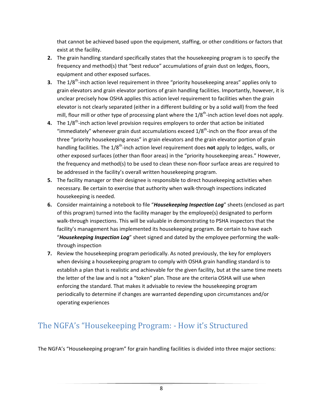that cannot be achieved based upon the equipment, staffing, or other conditions or factors that exist at the facility.

- **2.** The grain handling standard specifically states that the housekeeping program is to specify the frequency and method(s) that "best reduce" accumulations of grain dust on ledges, floors, equipment and other exposed surfaces.
- **3.** The 1/8<sup>th</sup>-inch action level requirement in three "priority housekeeping areas" applies only to grain elevators and grain elevator portions of grain handling facilities. Importantly, however, it is unclear precisely how OSHA applies this action level requirement to facilities when the grain elevator is not clearly separated (either in a different building or by a solid wall) from the feed mill, flour mill or other type of processing plant where the  $1/8<sup>th</sup>$ -inch action level does not apply.
- **4.** The 1/8<sup>th</sup>-inch action level provision requires employers to order that action be initiated "immediately" whenever grain dust accumulations exceed  $1/8<sup>th</sup>$ -inch on the floor areas of the three "priority housekeeping areas" in grain elevators and the grain elevator portion of grain handling facilities. The 1/8<sup>th</sup>-inch action level requirement does **not** apply to ledges, walls, or other exposed surfaces (other than floor areas) in the "priority housekeeping areas." However, the frequency and method(s) to be used to clean these non‐floor surface areas are required to be addressed in the facility's overall written housekeeping program.
- **5.** The facility manager or their designee is responsible to direct housekeeping activities when necessary. Be certain to exercise that authority when walk‐through inspections indicated housekeeping is needed.
- **6.** Consider maintaining a notebook to file "*Housekeeping Inspection Log*" sheets (enclosed as part of this program) turned into the facility manager by the employee(s) designated to perform walk-through inspections. This will be valuable in demonstrating to PSHA inspectors that the facility's management has implemented its housekeeping program. Be certain to have each "*Housekeeping Inspection Log*" sheet signed and dated by the employee performing the walk‐ through inspection
- **7.** Review the housekeeping program periodically. As noted previously, the key for employers when devising a housekeeping program to comply with OSHA grain handling standard is to establish a plan that is realistic and achievable for the given facility, but at the same time meets the letter of the law and is not a "token" plan. Those are the criteria OSHA will use when enforcing the standard. That makes it advisable to review the housekeeping program periodically to determine if changes are warranted depending upon circumstances and/or operating experiences

#### The NGFA's "Housekeeping Program: - How it's Structured

The NGFA's "Housekeeping program" for grain handling facilities is divided into three major sections: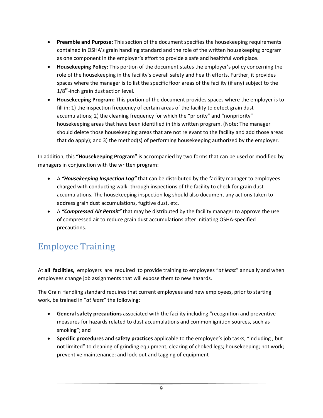- **Preamble and Purpose:** This section of the document specifies the housekeeping requirements contained in OSHA's grain handling standard and the role of the written housekeeping program as one component in the employer's effort to provide a safe and healthful workplace.
- **Housekeeping Policy:** This portion of the document states the employer's policy concerning the role of the housekeeping in the facility's overall safety and health efforts. Further, it provides spaces where the manager is to list the specific floor areas of the facility (if any) subject to the  $1/8^{th}$ -inch grain dust action level.
- **Housekeeping Program:** This portion of the document provides spaces where the employer is to fill in: 1) the inspection frequency of certain areas of the facility to detect grain dust accumulations; 2) the cleaning frequency for which the "priority" and "nonpriority" housekeeping areas that have been identified in this written program. (Note: The manager should delete those housekeeping areas that are not relevant to the facility and add those areas that do apply); and 3) the method(s) of performing housekeeping authorized by the employer.

In addition, this **"Housekeeping Program"** is accompanied by two forms that can be used or modified by managers in conjunction with the written program:

- A *"Housekeeping Inspection Log"* that can be distributed by the facility manager to employees charged with conducting walk‐ through inspections of the facility to check for grain dust accumulations. The housekeeping inspection log should also document any actions taken to address grain dust accumulations, fugitive dust, etc.
- A *"Compressed Air Permit"* that may be distributed by the facility manager to approve the use of compressed air to reduce grain dust accumulations after initiating OSHA‐specified precautions.

## Employee Training

At **all facilities,** employers are required to provide training to employees "*at least*" annually and when employees change job assignments that will expose them to new hazards.

The Grain Handling standard requires that current employees and new employees, prior to starting work, be trained in "*at least*" the following:

- **General safety precautions** associated with the facility including "recognition and preventive measures for hazards related to dust accumulations and common ignition sources, such as smoking"; and
- **Specific procedures and safety practices** applicable to the employee's job tasks, "including , but not limited" to cleaning of grinding equipment, clearing of choked legs; housekeeping; hot work; preventive maintenance; and lock‐out and tagging of equipment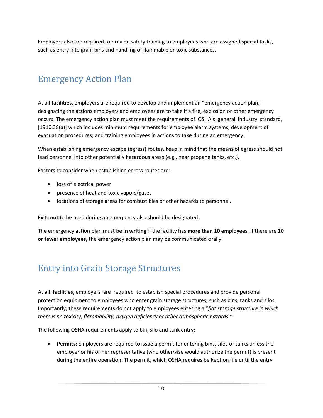Employers also are required to provide safety training to employees who are assigned **special tasks,**  such as entry into grain bins and handling of flammable or toxic substances.

### Emergency Action Plan

At **all facilities,** employers are required to develop and implement an "emergency action plan," designating the actions employers and employees are to take if a fire, explosion or other emergency occurs. The emergency action plan must meet the requirements of OSHA's general industry standard, [1910.38(a)] which includes minimum requirements for employee alarm systems; development of evacuation procedures; and training employees in actions to take during an emergency.

When establishing emergency escape (egress) routes, keep in mind that the means of egress should not lead personnel into other potentially hazardous areas (e.g., near propane tanks, etc.).

Factors to consider when establishing egress routes are:

- loss of electrical power
- presence of heat and toxic vapors/gases
- locations of storage areas for combustibles or other hazards to personnel.

Exits **not** to be used during an emergency also should be designated.

The emergency action plan must be **in writing** if the facility has **more than 10 employees**. If there are **10 or fewer employees,** the emergency action plan may be communicated orally.

### Entry into Grain Storage Structures

At **all facilities,** employers are required to establish special procedures and provide personal protection equipment to employees who enter grain storage structures, such as bins, tanks and silos. Importantly, these requirements do not apply to employees entering a "*flat storage structure in which there is no toxicity, flammability, oxygen deficiency or other atmospheric hazards."* 

The following OSHA requirements apply to bin, silo and tank entry:

 **Permits:** Employers are required to issue a permit for entering bins, silos or tanks unless the employer or his or her representative (who otherwise would authorize the permit) is present during the entire operation. The permit, which OSHA requires be kept on file until the entry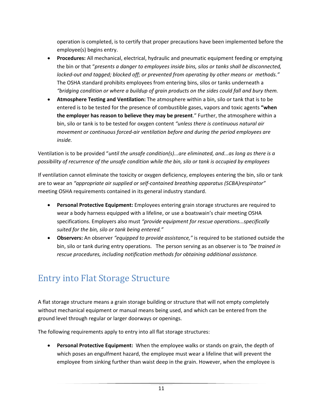operation is completed, is to certify that proper precautions have been implemented before the employee(s) begins entry.

- **Procedures:** All mechanical, electrical, hydraulic and pneumatic equipment feeding or emptying the bin or that "*presents a danger to employees inside bins, silos or tanks shall be disconnected,*  locked-out and tagged; blocked off; or prevented from operating by other means or methods." The OSHA standard prohibits employees from entering bins, silos or tanks underneath a *"bridging condition or where a buildup of grain products on the sides could fall and bury them.*
- **Atmosphere Testing and Ventilation:** The atmosphere within a bin, silo or tank that is to be entered is to be tested for the presence of combustible gases, vapors and toxic agents **"when the employer has reason to believe they may be present**." Further, the atmosphere within a bin, silo or tank is to be tested for oxygen content *"unless there is continuous natural air movement or continuous forced‐air ventilation before and during the period employees are inside.*

Ventilation is to be provided "*until the unsafe condition(s)...are eliminated, and...as long as there is a possibility of recurrence of the unsafe condition while the bin, silo or tank is occupied by employees* 

If ventilation cannot eliminate the toxicity or oxygen deficiency, employees entering the bin, silo or tank are to wear an *"appropriate air supplied or self‐contained breathing apparatus (SCBA)respirator"*  meeting OSHA requirements contained in its general industry standard.

- **Personal Protective Equipment:** Employees entering grain storage structures are required to wear a body harness equipped with a lifeline, or use a boatswain's chair meeting OSHA specifications. Employers also must *"provide equipment for rescue operations...specifically suited for the bin, silo or tank being entered."*
- **Observers:** An observer *"equipped to provide assistance,"* is required to be stationed outside the bin, silo or tank during entry operations. The person serving as an observer is to *"be trained in rescue procedures, including notification methods for obtaining additional assistance.*

## Entry into Flat Storage Structure

A flat storage structure means a grain storage building or structure that will not empty completely without mechanical equipment or manual means being used, and which can be entered from the ground level through regular or larger doorways or openings.

The following requirements apply to entry into all flat storage structures:

**Personal Protective Equipment:** When the employee walks or stands on grain, the depth of which poses an engulfment hazard, the employee must wear a lifeline that will prevent the employee from sinking further than waist deep in the grain. However, when the employee is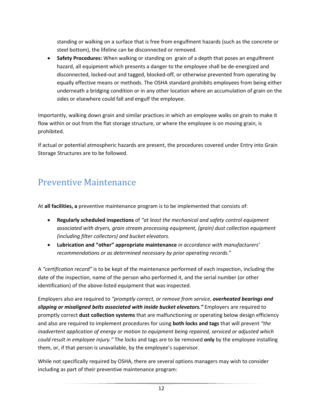standing or walking on a surface that is free from engulfment hazards (such as the concrete or steel bottom), the lifeline can be disconnected or removed.

 **Safety Procedures:** When walking or standing on grain of a depth that poses an engulfment hazard, all equipment which presents a danger to the employee shall be de‐energized and disconnected, locked‐out and tagged, blocked‐off, or otherwise prevented from operating by equally effective means or methods. The OSHA standard prohibits employees from being either underneath a bridging condition or in any other location where an accumulation of grain on the sides or elsewhere could fall and engulf the employee.

Importantly, walking down grain and similar practices in which an employee walks on grain to make it flow within or out from the flat storage structure, or where the employee is on moving grain, is prohibited.

If actual or potential atmospheric hazards are present, the procedures covered under Entry into Grain Storage Structures are to be followed.

### Preventive Maintenance

At **all facilities, a** preventive maintenance program is to be implemented that consists of:

- **Regularly scheduled inspections** of *"at least the mechanical and safety control equipment associated with dryers, grain stream processing equipment, (grain) dust collection equipment (including filter collectors) and bucket elevators.*
- **Lubrication and "other" appropriate maintenance** *in accordance with manufacturers' recommendations or as determined necessary by prior operating records.*"

A *"certification record"* is to be kept of the maintenance performed of each inspection, including the date of the inspection, name of the person who performed it, and the serial number (or other identification) of the above‐listed equipment that was inspected.

Employers also are required to *"promptly correct, or remove from service*, *overheated bearings and slipping or misaligned belts associated with inside bucket elevators."* Employers are required to promptly correct **dust collection systems** that are malfunctioning or operating below design efficiency and also are required to implement procedures for using **both locks and tags** that will prevent *"the inadvertent application of energy or motion to equipment being repaired, serviced or adjusted which could result in employee injury."* The locks and tags are to be removed **only** by the employee installing them, or, if that person is unavailable, by the employee's supervisor.

While not specifically required by OSHA, there are several options managers may wish to consider including as part of their preventive maintenance program: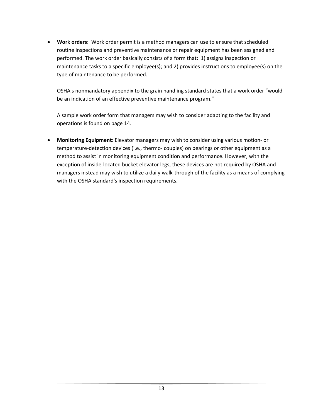**Work orders:**  Work order permit is a method managers can use to ensure that scheduled routine inspections and preventive maintenance or repair equipment has been assigned and performed. The work order basically consists of a form that: 1) assigns inspection or maintenance tasks to a specific employee(s); and 2) provides instructions to employee(s) on the type of maintenance to be performed.

OSHA's nonmandatory appendix to the grain handling standard states that a work order "would be an indication of an effective preventive maintenance program."

A sample work order form that managers may wish to consider adapting to the facility and operations is found on page 14.

 **Monitoring Equipment**: Elevator managers may wish to consider using various motion‐ or temperature‐detection devices (i.e., thermo‐ couples) on bearings or other equipment as a method to assist in monitoring equipment condition and performance. However, with the exception of inside-located bucket elevator legs, these devices are not required by OSHA and managers instead may wish to utilize a daily walk‐through of the facility as a means of complying with the OSHA standard's inspection requirements.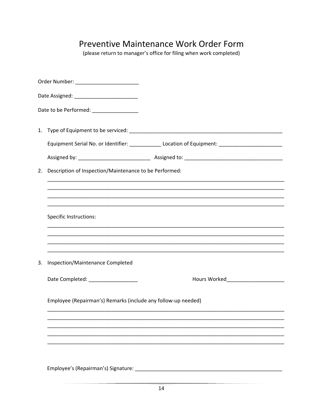#### Preventive Maintenance Work Order Form

(please return to manager's office for filing when work completed)

|    | Order Number: __________________________                                                            |
|----|-----------------------------------------------------------------------------------------------------|
|    |                                                                                                     |
|    | Date to be Performed: __________________                                                            |
|    |                                                                                                     |
|    |                                                                                                     |
|    | Equipment Serial No. or Identifier: ________________Location of Equipment: ________________________ |
|    |                                                                                                     |
| 2. | Description of Inspection/Maintenance to be Performed:                                              |
|    |                                                                                                     |
|    |                                                                                                     |
|    |                                                                                                     |
|    | <b>Specific Instructions:</b>                                                                       |
|    |                                                                                                     |
|    |                                                                                                     |
| 3. | Inspection/Maintenance Completed                                                                    |
|    | Hours Worked <b>Manual Manual Property Report Follows</b><br>Date Completed: _________________      |
|    |                                                                                                     |
|    | Employee (Repairman's) Remarks (include any follow-up needed)                                       |
|    |                                                                                                     |
|    |                                                                                                     |
|    |                                                                                                     |
|    |                                                                                                     |
|    |                                                                                                     |
|    |                                                                                                     |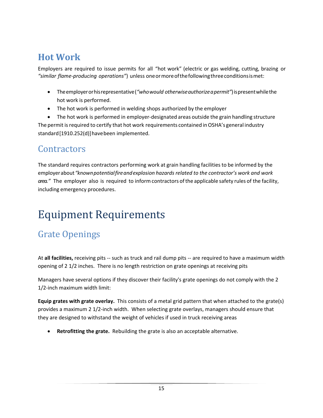### **Hot Work**

Employers are required to issue permits for all "hot work" (electric or gas welding, cutting, brazing or *"similar flame‐producing operations"*) unless one or more of the following three conditions is met:

- The employer or his representative (*"who would otherwise authorize a permit"*) is present while the hot work is performed.
- The hot work is performed in welding shops authorized by the employer

● The hot work is performed in employer-designated areas outside the grain handling structure The permit is required to certify that hot work requirements contained in OSHA's general industry standard [1910.252(d)] have been implemented.

#### **Contractors**

The standard requires contractors performing work at grain handling facilities to be informed by the employer about *"known potential fire and explosion hazards related to the contractor's work and work area."* The employer also is required to inform contractors of the applicable safety rules of the facility, including emergency procedures.

# Equipment Requirements

### **Grate Openings**

At **all facilities,** receiving pits ‐‐ such as truck and rail dump pits ‐‐ are required to have a maximum width opening of 2 1/2 inches. There is no length restriction on grate openings at receiving pits

Managers have several options if they discover their facility's grate openings do not comply with the 2 1/2‐inch maximum width limit:

**Equip grates with grate overlay.** This consists of a metal grid pattern that when attached to the grate(s) provides a maximum 2 1/2‐inch width. When selecting grate overlays, managers should ensure that they are designed to withstand the weight of vehicles if used in truck receiving areas

**Retrofitting the grate.** Rebuilding the grate is also an acceptable alternative.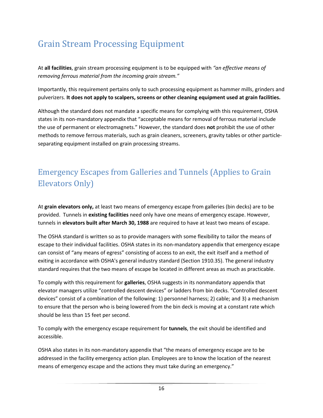## Grain Stream Processing Equipment

At **all facilities**, grain stream processing equipment is to be equipped with *"an effective means of removing ferrous material from the incoming grain stream."* 

Importantly, this requirement pertains only to such processing equipment as hammer mills, grinders and pulverizers. **It does not apply to scalpers, screens or other cleaning equipment used at grain facilities.** 

Although the standard does not mandate a specific means for complying with this requirement, OSHA states in its non‐mandatory appendix that "acceptable means for removal of ferrous material include the use of permanent or electromagnets." However, the standard does **not** prohibit the use of other methods to remove ferrous materials, such as grain cleaners, screeners, gravity tables or other particle‐ separating equipment installed on grain processing streams.

### Emergency Escapes from Galleries and Tunnels (Applies to Grain Elevators Only)

At **grain elevators only,** at least two means of emergency escape from galleries (bin decks) are to be provided. Tunnels in **existing facilities** need only have one means of emergency escape. However, tunnels in **elevators built after March 30, 1988** are required to have at least two means of escape.

The OSHA standard is written so as to provide managers with some flexibility to tailor the means of escape to their individual facilities. OSHA states in its non‐mandatory appendix that emergency escape can consist of "any means of egress" consisting of access to an exit, the exit itself and a method of exiting in accordance with OSHA's general industry standard (Section 1910.35). The general industry standard requires that the two means of escape be located in different areas as much as practicable.

To comply with this requirement for **galleries**, OSHA suggests in its nonmandatory appendix that elevator managers utilize "controlled descent devices" or ladders from bin decks. "Controlled descent devices" consist of a combination of the following: 1) personnel harness; 2) cable; and 3) a mechanism to ensure that the person who is being lowered from the bin deck is moving at a constant rate which should be less than 15 feet per second.

To comply with the emergency escape requirement for **tunnels**, the exit should be identified and accessible.

OSHA also states in its non‐mandatory appendix that "the means of emergency escape are to be addressed in the facility emergency action plan. Employees are to know the location of the nearest means of emergency escape and the actions they must take during an emergency."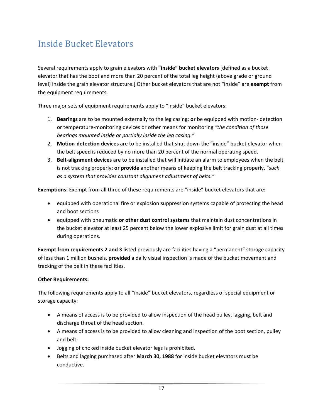## Inside Bucket Elevators

Several requirements apply to grain elevators with **"inside" bucket elevators** [defined as a bucket elevator that has the boot and more than 20 percent of the total leg height (above grade or ground level) inside the grain elevator structure.] Other bucket elevators that are not "inside" are **exempt** from the equipment requirements.

Three major sets of equipment requirements apply to "inside" bucket elevators:

- 1. **Bearings** are to be mounted externally to the leg casing; **or** be equipped with motion‐ detection or temperature‐monitoring devices or other means for monitoring *"the condition of those bearings mounted inside or partially inside the leg casing."*
- 2. **Motion‐detection devices** are to be installed that shut down the "inside" bucket elevator when the belt speed is reduced by no more than 20 percent of the normal operating speed.
- 3. **Belt‐alignment devices** are to be installed that will initiate an alarm to employees when the belt is not tracking properly; **or provide** another means of keeping the belt tracking properly, "*such as a system that provides constant alignment adjustment of belts."*

**Exemptions:** Exempt from all three of these requirements are "inside" bucket elevators that are**:** 

- equipped with operational fire or explosion suppression systems capable of protecting the head and boot sections
- equipped with pneumatic **or other dust control systems** that maintain dust concentrations in the bucket elevator at least 25 percent below the lower explosive limit for grain dust at all times during operations.

**Exempt from requirements 2 and 3** listed previously are facilities having a "permanent" storage capacity of less than 1 million bushels, **provided** a daily visual inspection is made of the bucket movement and tracking of the belt in these facilities.

#### **Other Requirements:**

The following requirements apply to all "inside" bucket elevators, regardless of special equipment or storage capacity:

- A means of access is to be provided to allow inspection of the head pulley, lagging, belt and discharge throat of the head section.
- A means of access is to be provided to allow cleaning and inspection of the boot section, pulley and belt.
- Jogging of choked inside bucket elevator legs is prohibited.
- Belts and lagging purchased after **March 30, 1988** for inside bucket elevators must be conductive.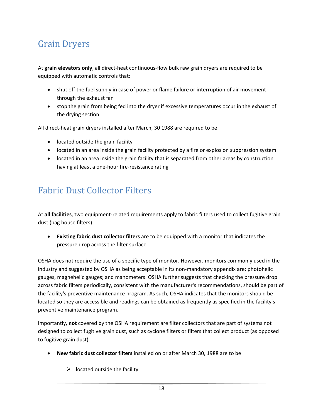### Grain Dryers

At grain elevators only, all direct-heat continuous-flow bulk raw grain dryers are required to be equipped with automatic controls that:

- shut off the fuel supply in case of power or flame failure or interruption of air movement through the exhaust fan
- stop the grain from being fed into the dryer if excessive temperatures occur in the exhaust of the drying section.

All direct-heat grain dryers installed after March, 30 1988 are required to be:

- located outside the grain facility
- located in an area inside the grain facility protected by a fire or explosion suppression system
- located in an area inside the grain facility that is separated from other areas by construction having at least a one‐hour fire‐resistance rating

### Fabric Dust Collector Filters

At **all facilities**, two equipment‐related requirements apply to fabric filters used to collect fugitive grain dust (bag house filters).

 **Existing fabric dust collector filters** are to be equipped with a monitor that indicates the pressure drop across the filter surface.

OSHA does not require the use of a specific type of monitor. However, monitors commonly used in the industry and suggested by OSHA as being acceptable in its non-mandatory appendix are: photohelic gauges, magnehelic gauges; and manometers. OSHA further suggests that checking the pressure drop across fabric filters periodically, consistent with the manufacturer's recommendations, should be part of the facility's preventive maintenance program. As such, OSHA indicates that the monitors should be located so they are accessible and readings can be obtained as frequently as specified in the facility's preventive maintenance program.

Importantly, **not** covered by the OSHA requirement are filter collectors that are part of systems not designed to collect fugitive grain dust, such as cyclone filters or filters that collect product (as opposed to fugitive grain dust).

- **New fabric dust collector filters** installed on or after March 30, 1988 are to be:
	- $\triangleright$  located outside the facility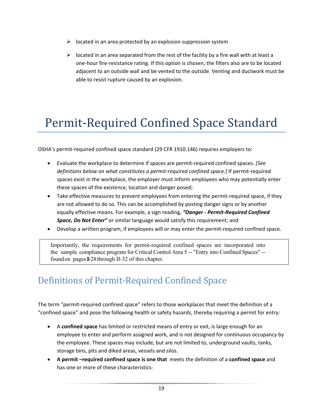- $\triangleright$  located in an area protected by an explosion suppression system
- $\triangleright$  located in an area separated from the rest of the facility by a fire wall with at least a one‐hour fire‐resistance rating. If this option is chosen, the filters also are to be located adjacent to an outside wall and be vented to the outside. Venting and ductwork must be able to resist rupture caused by an explosion.

# Permit-Required Confined Space Standard

OSHA's permit‐required confined space standard (29 CFR 1910.146) requires employers to:

- Evaluate the workplace to determine if spaces are permit‐required confined spaces. *[See definitions below on what constitutes a permit‐required confined space.]* If permit‐required spaces exist in the workplace, the employer must inform employees who may potentially enter these spaces of the existence, location and danger posed;
- Take effective measures to prevent employees from entering the permit-required space, if they are not allowed to do so. This can be accomplished by posting danger signs or by another equally effective means. For example, a sign reading, *"Danger ‐ Permit‐Required Confined Space, Do Not Enter"* or similar language would satisfy this requirement; and
- Develop a written program, if employees will or may enter the permit-required confined space.

Importantly, the requirements for permit-required confined spaces are incorporated into the sample compliance program for Critical Control Area 5 -- "Entry into Confined Spaces" - found on pages II-28 through II-32 of this chapter.

## Definitions of Permit-Required Confined Space

The term "permit-required confined space" refers to those workplaces that meet the definition of a "confined space" and pose the following health or safety hazards, thereby requiring a permit for entry:

- A **confined space** has limited or restricted means of entry or exit, is large enough for an employee to enter and perform assigned work, and is not designed for continuous occupancy by the employee. These spaces may include, but are not limited to, underground vaults, tanks, storage bins, pits and diked areas, vessels and silos.
- **A permit –required confined space is one that**  meets the definition of a **confined space** and has one or more of these characteristics: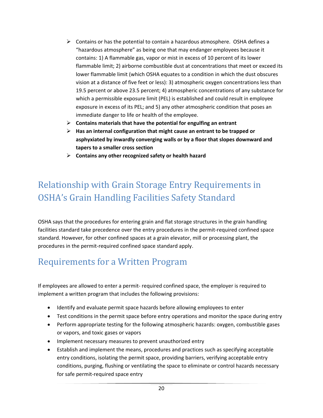- $\triangleright$  Contains or has the potential to contain a hazardous atmosphere. OSHA defines a "hazardous atmosphere" as being one that may endanger employees because it contains: 1) A flammable gas, vapor or mist in excess of 10 percent of its lower flammable limit; 2) airborne combustible dust at concentrations that meet or exceed its lower flammable limit (which OSHA equates to a condition in which the dust obscures vision at a distance of five feet or less): 3) atmospheric oxygen concentrations less than 19.5 percent or above 23.5 percent; 4) atmospheric concentrations of any substance for which a permissible exposure limit (PEL) is established and could result in employee exposure in excess of its PEL; and 5) any other atmospheric condition that poses an immediate danger to life or health of the employee.
- **Contains materials that have the potential for engulfing an entrant**
- **Has an internal configuration that might cause an entrant to be trapped or asphyxiated by inwardly converging walls or by a floor that slopes downward and tapers to a smaller cross section**
- **Contains any other recognized safety or health hazard**

## Relationship with Grain Storage Entry Requirements in OSHA's Grain Handling Facilities Safety Standard

OSHA says that the procedures for entering grain and flat storage structures in the grain handling facilities standard take precedence over the entry procedures in the permit-required confined space standard. However, for other confined spaces at a grain elevator, mill or processing plant, the procedures in the permit‐required confined space standard apply.

## Requirements for a Written Program

If employees are allowed to enter a permit‐ required confined space, the employer is required to implement a written program that includes the following provisions:

- Identify and evaluate permit space hazards before allowing employees to enter
- Test conditions in the permit space before entry operations and monitor the space during entry
- Perform appropriate testing for the following atmospheric hazards: oxygen, combustible gases or vapors, and toxic gases or vapors
- Implement necessary measures to prevent unauthorized entry
- Establish and implement the means, procedures and practices such as specifying acceptable entry conditions, isolating the permit space, providing barriers, verifying acceptable entry conditions, purging, flushing or ventilating the space to eliminate or control hazards necessary for safe permit‐required space entry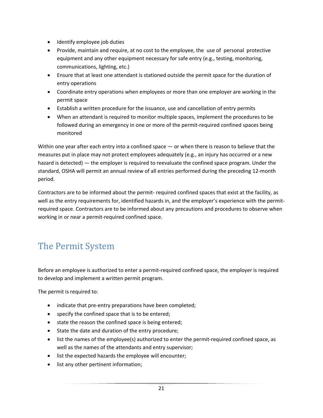- Identify employee job duties
- Provide, maintain and require, at no cost to the employee, the use of personal protective equipment and any other equipment necessary for safe entry (e.g., testing, monitoring, communications, lighting, etc.)
- Ensure that at least one attendant is stationed outside the permit space for the duration of entry operations
- Coordinate entry operations when employees or more than one employer are working in the permit space
- Establish a written procedure for the issuance, use and cancellation of entry permits
- When an attendant is required to monitor multiple spaces, implement the procedures to be followed during an emergency in one or more of the permit-required confined spaces being monitored

Within one year after each entry into a confined space — or when there is reason to believe that the measures put in place may not protect employees adequately (e.g., an injury has occurred or a new hazard is detected) — the employer is required to reevaluate the confined space program. Under the standard, OSHA will permit an annual review of all entries performed during the preceding 12‐month period.

Contractors are to be informed about the permit- required confined spaces that exist at the facility, as well as the entry requirements for, identified hazards in, and the employer's experience with the permitrequired space. Contractors are to be informed about any precautions and procedures to observe when working in or near a permit‐required confined space.

## The Permit System

Before an employee is authorized to enter a permit-required confined space, the employer is required to develop and implement a written permit program.

The permit is required to:

- indicate that pre-entry preparations have been completed;
- specify the confined space that is to be entered;
- state the reason the confined space is being entered;
- State the date and duration of the entry procedure;
- list the names of the employee(s) authorized to enter the permit‐required confined space, as well as the names of the attendants and entry supervisor;
- list the expected hazards the employee will encounter;
- **•** list any other pertinent information;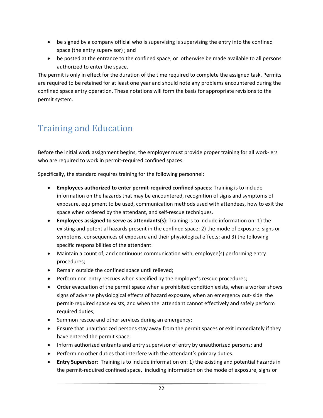- be signed by a company official who is supervising is supervising the entry into the confined space (the entry supervisor) ; and
- be posted at the entrance to the confined space, or otherwise be made available to all persons authorized to enter the space.

The permit is only in effect for the duration of the time required to complete the assigned task. Permits are required to be retained for at least one year and should note any problems encountered during the confined space entry operation. These notations will form the basis for appropriate revisions to the permit system.

## **Training and Education**

Before the initial work assignment begins, the employer must provide proper training for all work- ers who are required to work in permit-required confined spaces.

Specifically, the standard requires training for the following personnel:

- **Employees authorized to enter permit‐required confined spaces**: Training is to include information on the hazards that may be encountered, recognition of signs and symptoms of exposure, equipment to be used, communication methods used with attendees, how to exit the space when ordered by the attendant, and self‐rescue techniques.
- **Employees assigned to serve as attendants(s)**: Training is to include information on: 1) the existing and potential hazards present in the confined space; 2) the mode of exposure, signs or symptoms, consequences of exposure and their physiological effects; and 3) the following specific responsibilities of the attendant:
- Maintain a count of, and continuous communication with, employee(s) performing entry procedures;
- Remain outside the confined space until relieved;
- Perform non-entry rescues when specified by the employer's rescue procedures;
- Order evacuation of the permit space when a prohibited condition exists, when a worker shows signs of adverse physiological effects of hazard exposure, when an emergency out‐ side the permit-required space exists, and when the attendant cannot effectively and safely perform required duties;
- Summon rescue and other services during an emergency;
- Ensure that unauthorized persons stay away from the permit spaces or exit immediately if they have entered the permit space;
- Inform authorized entrants and entry supervisor of entry by unauthorized persons; and
- Perform no other duties that interfere with the attendant's primary duties.
- **Entry Supervisor**: Training is to include information on: 1) the existing and potential hazards in the permit‐required confined space, including information on the mode of exposure, signs or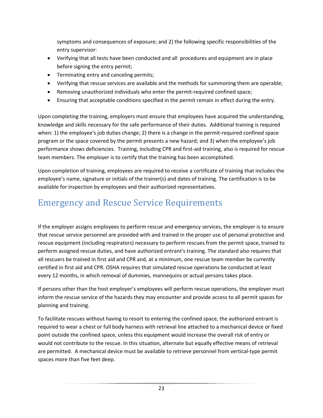symptoms and consequences of exposure; and 2) the following specific responsibilities of the entry supervisor:

- Verifying that all tests have been conducted and all procedures and equipment are in place before signing the entry permit;
- **•** Terminating entry and canceling permits;
- Verifying that rescue services are available and the methods for summoning them are operable;
- Removing unauthorized individuals who enter the permit-required confined space;
- Ensuring that acceptable conditions specified in the permit remain in effect during the entry.

Upon completing the training, employers must ensure that employees have acquired the understanding, knowledge and skills necessary for the safe performance of their duties. Additional training is required when: 1) the employee's job duties change; 2) there is a change in the permit-required confined space program or the space covered by the permit presents a new hazard; and 3) when the employee's job performance shows deficiencies. Training, including CPR and first-aid training, also is required for rescue team members. The employer is to certify that the training has been accomplished.

Upon completion of training, employees are required to receive a certificate of training that includes the employee's name, signature or initials of the trainer(s) and dates of training. The certification is to be available for inspection by employees and their authorized representatives.

## Emergency and Rescue Service Requirements

If the employer assigns employees to perform rescue and emergency services, the employer is to ensure that rescue service personnel are provided with and trained in the proper use of personal protective and rescue equipment (including respirators) necessary to perform rescues from the permit space, trained to perform assigned rescue duties, and have authorized entrant's training. The standard also requires that all rescuers be trained in first aid and CPR and, at a minimum, one rescue team member be currently certified in first aid and CPR. OSHA requires that simulated rescue operations be conducted at least every 12 months, in which removal of dummies, mannequins or actual persons takes place.

If persons other than the host employer's employees will perform rescue operations, the employer must inform the rescue service of the hazards they may encounter and provide access to all permit spaces for planning and training.

To facilitate rescues without having to resort to entering the confined space, the authorized entrant is required to wear a chest or full body harness with retrieval line attached to a mechanical device or fixed point outside the confined space, unless this equipment would increase the overall risk of entry or would not contribute to the rescue. In this situation, alternate but equally effective means of retrieval are permitted. A mechanical device must be available to retrieve personnel from vertical‐type permit spaces more than five feet deep.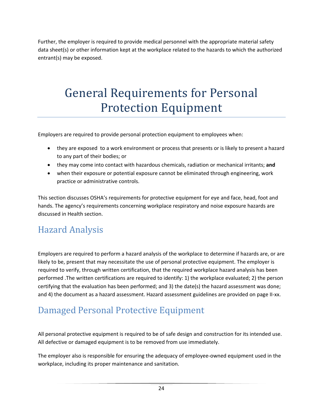Further, the employer is required to provide medical personnel with the appropriate material safety data sheet(s) or other information kept at the workplace related to the hazards to which the authorized entrant(s) may be exposed.

# General Requirements for Personal **Protection Equipment**

Employers are required to provide personal protection equipment to employees when:

- they are exposed to a work environment or process that presents or is likely to present a hazard to any part of their bodies; or
- they may come into contact with hazardous chemicals, radiation or mechanical irritants; **and**
- when their exposure or potential exposure cannot be eliminated through engineering, work practice or administrative controls.

This section discusses OSHA's requirements for protective equipment for eye and face, head, foot and hands. The agency's requirements concerning workplace respiratory and noise exposure hazards are discussed in Health section.

### **Hazard Analysis**

Employers are required to perform a hazard analysis of the workplace to determine if hazards are, or are likely to be, present that may necessitate the use of personal protective equipment. The employer is required to verify, through written certification, that the required workplace hazard analysis has been performed .The written certifications are required to identify: 1) the workplace evaluated; 2) the person certifying that the evaluation has been performed; and 3) the date(s) the hazard assessment was done; and 4) the document as a hazard assessment. Hazard assessment guidelines are provided on page II-xx.

### Damaged Personal Protective Equipment

All personal protective equipment is required to be of safe design and construction for its intended use. All defective or damaged equipment is to be removed from use immediately.

The employer also is responsible for ensuring the adequacy of employee-owned equipment used in the workplace, including its proper maintenance and sanitation.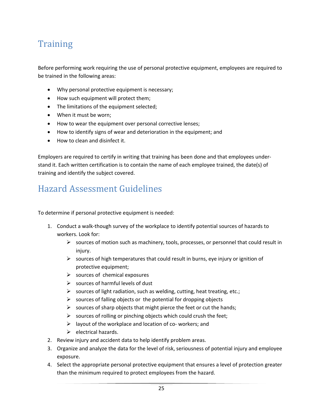## **Training**

Before performing work requiring the use of personal protective equipment, employees are required to be trained in the following areas:

- Why personal protective equipment is necessary;
- How such equipment will protect them;
- The limitations of the equipment selected;
- When it must be worn;
- How to wear the equipment over personal corrective lenses;
- How to identify signs of wear and deterioration in the equipment; and
- How to clean and disinfect it.

Employers are required to certify in writing that training has been done and that employees under‐ stand it. Each written certification is to contain the name of each employee trained, the date(s) of training and identify the subject covered.

### Hazard Assessment Guidelines

To determine if personal protective equipment is needed:

- 1. Conduct a walk‐though survey of the workplace to identify potential sources of hazards to workers. Look for:
	- $\triangleright$  sources of motion such as machinery, tools, processes, or personnel that could result in injury.
	- $\triangleright$  sources of high temperatures that could result in burns, eye injury or ignition of protective equipment;
	- $\triangleright$  sources of chemical exposures
	- $\triangleright$  sources of harmful levels of dust
	- $\triangleright$  sources of light radiation, such as welding, cutting, heat treating, etc.;
	- $\triangleright$  sources of falling objects or the potential for dropping objects
	- $\triangleright$  sources of sharp objects that might pierce the feet or cut the hands;
	- $\triangleright$  sources of rolling or pinching objects which could crush the feet;
	- $\triangleright$  layout of the workplace and location of co- workers; and
	- $\triangleright$  electrical hazards.
- 2. Review injury and accident data to help identify problem areas.
- 3. Organize and analyze the data for the level of risk, seriousness of potential injury and employee exposure.
- 4. Select the appropriate personal protective equipment that ensures a level of protection greater than the minimum required to protect employees from the hazard.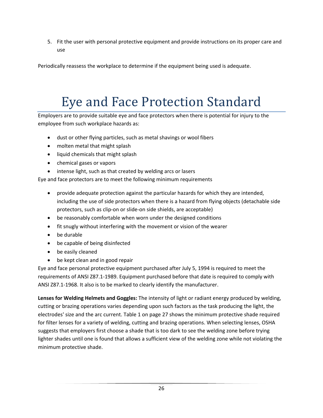5. Fit the user with personal protective equipment and provide instructions on its proper care and use

Periodically reassess the workplace to determine if the equipment being used is adequate.

# Eye and Face Protection Standard

Employers are to provide suitable eye and face protectors when there is potential for injury to the employee from such workplace hazards as:

- dust or other flying particles, such as metal shavings or wool fibers
- molten metal that might splash
- liquid chemicals that might splash
- chemical gases or vapors
- intense light, such as that created by welding arcs or lasers

Eye and face protectors are to meet the following minimum requirements

- provide adequate protection against the particular hazards for which they are intended, including the use of side protectors when there is a hazard from flying objects (detachable side protectors, such as clip‐on or slide‐on side shields, are acceptable)
- be reasonably comfortable when worn under the designed conditions
- fit snugly without interfering with the movement or vision of the wearer
- be durable
- be capable of being disinfected
- be easily cleaned
- be kept clean and in good repair

Eye and face personal protective equipment purchased after July 5, 1994 is required to meet the requirements of ANSI Z87.1‐1989. Equipment purchased before that date is required to comply with ANSI Z87.1‐1968. It also is to be marked to clearly identify the manufacturer.

**Lenses for Welding Helmets and Goggles:** The intensity of light or radiant energy produced by welding, cutting or brazing operations varies depending upon such factors as the task producing the light, the electrodes' size and the arc current. Table 1 on page 27 shows the minimum protective shade required for filter lenses for a variety of welding, cutting and brazing operations. When selecting lenses, OSHA suggests that employers first choose a shade that is too dark to see the welding zone before trying lighter shades until one is found that allows a sufficient view of the welding zone while not violating the minimum protective shade.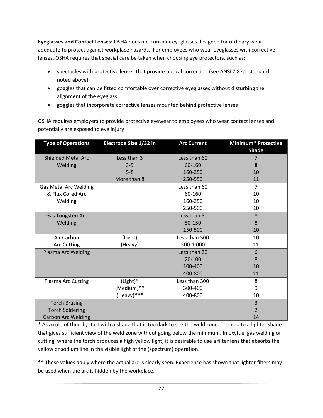**Eyeglasses and Contact Lenses:** OSHA does not consider eyeglasses designed for ordinary wear adequate to protect against workplace hazards. For employees who wear eyeglasses with corrective lenses, OSHA requires that special care be taken when choosing eye protectors, such as:

- spectacles with protective lenses that provide optical correction (see ANSI Z.87.1 standards noted above)
- goggles that can be fitted comfortable over corrective eyeglasses without disturbing the alignment of the eyeglass
- goggles that incorporate corrective lenses mounted behind protective lenses

OSHA requires employers to provide protective eyewear to employees who wear contact lenses and potentially are exposed to eye injury

| <b>Type of Operations</b>    | Electrode Size 1/32 in | <b>Arc Current</b> | <b>Minimum* Protective</b> |
|------------------------------|------------------------|--------------------|----------------------------|
|                              |                        |                    | <b>Shade</b>               |
| <b>Shielded Metal Arc</b>    | Less than 3            | Less than 60       | 7                          |
| Welding                      | $3 - 5$                | 60-160             | 8                          |
|                              | $5 - 8$                | 160-250            | 10                         |
|                              | More than 8            | 250-550            | 11                         |
| <b>Gas Metal Arc Welding</b> |                        | Less than 60       | $\overline{7}$             |
| & Flux Cored Arc             |                        | 60-160             | 10                         |
| Welding                      |                        | 160-250            | 10                         |
|                              |                        | 250-500            | 10                         |
| Gas Tungsten Arc             |                        | Less than 50       | 8                          |
| Welding                      |                        | 50-150             | 8                          |
|                              |                        | 150-500            | 10                         |
| Air Carbon                   | (Light)                | Less than 500      | 10                         |
| <b>Arc Cutting</b>           | (Heavy)                | 500-1,000          | 11                         |
| Plasma Arc Welding           |                        | Less than 20       | 6                          |
|                              |                        | 20-100             | 8                          |
|                              |                        | 100-400            | 10                         |
|                              |                        | 400-800            | 11                         |
| Plasma Arc Cutting           | (Light)*               | Less than 300      | 8                          |
|                              | (Medium)**             | 300-400            | 9                          |
|                              | (Heavy)***             | 400-800            | 10                         |
| <b>Torch Brazing</b>         |                        |                    | 3                          |
| <b>Torch Soldering</b>       |                        |                    | $\overline{2}$             |
| <b>Carbon Arc Welding</b>    |                        |                    | 14                         |

\* As a rule of thumb, start with a shade that is too dark to see the weld zone. Then go to a lighter shade that gives sufficient view of the weld zone without going below the minimum. In oxyfuel gas welding or cutting, where the torch produces a high yellow light, it is desirable to use a filter lens that absorbs the yellow or sodium line in the visible light of the (spectrum) operation.

\*\* These values apply where the actual arc is clearly seen. Experience has shown that lighter filters may be used when the arc is hidden by the workplace.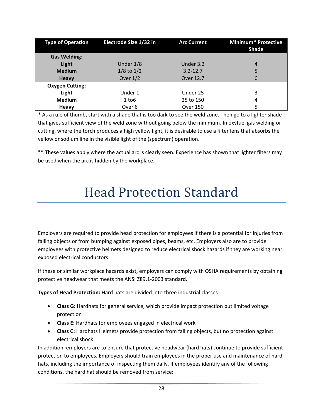| <b>Type of Operation</b> | Electrode Size 1/32 in | <b>Arc Current</b> | <b>Minimum* Protective</b><br><b>Shade</b> |
|--------------------------|------------------------|--------------------|--------------------------------------------|
| <b>Gas Welding:</b>      |                        |                    |                                            |
| Light                    | Under 1/8              | Under 3.2          | 4                                          |
| <b>Medium</b>            | $1/8$ to $1/2$         | $3.2 - 12.7$       |                                            |
| <b>Heavy</b>             | Over $1/2$             | Over 12.7          | 6                                          |
| <b>Oxygen Cutting:</b>   |                        |                    |                                            |
| Light                    | Under 1                | Under 25           | 3                                          |
| <b>Medium</b>            | 1 <sub>to6</sub>       | 25 to 150          | 4                                          |
| Heavy                    | Over <sub>6</sub>      | <b>Over 150</b>    |                                            |

\* As a rule of thumb, start with a shade that is too dark to see the weld zone. Then go to a lighter shade that gives sufficient view of the weld zone without going below the minimum. In oxyfuel gas welding or cutting, where the torch produces a high yellow light, it is desirable to use a filter lens that absorbs the yellow or sodium line in the visible light of the (spectrum) operation.

\*\* These values apply where the actual arc is clearly seen. Experience has shown that lighter filters may be used when the arc is hidden by the workplace.

# Head Protection Standard

Employers are required to provide head protection for employees if there is a potential for injuries from falling objects or from bumping against exposed pipes, beams, etc. Employers also are to provide employees with protective helmets designed to reduce electrical shock hazards if they are working near exposed electrical conductors.

If these or similar workplace hazards exist, employers can comply with OSHA requirements by obtaining protective headwear that meets the ANSI Z89.1‐2003 standard.

**Types of Head Protection:** Hard hats are divided into three industrial classes:

- **Class G:** Hardhats for general service, which provide impact protection but limited voltage protection
- **Class E:** Hardhats for employees engaged in electrical work
- **Class C:** Hardhats Helmets provide protection from falling objects, but no protection against electrical shock

In addition, employers are to ensure that protective headwear (hard hats) continue to provide sufficient protection to employees. Employers should train employees in the proper use and maintenance of hard hats, including the importance of inspecting them daily. If employees identify any of the following conditions, the hard hat should be removed from service: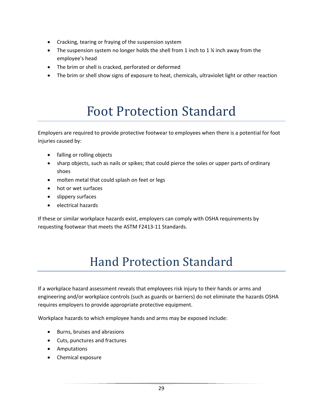- Cracking, tearing or fraying of the suspension system
- The suspension system no longer holds the shell from 1 inch to 1  $\frac{1}{2}$  inch away from the employee's head
- The brim or shell is cracked, perforated or deformed
- The brim or shell show signs of exposure to heat, chemicals, ultraviolet light or other reaction

# Foot Protection Standard

Employers are required to provide protective footwear to employees when there is a potential for foot injuries caused by:

- falling or rolling objects
- sharp objects, such as nails or spikes; that could pierce the soles or upper parts of ordinary shoes
- molten metal that could splash on feet or legs
- hot or wet surfaces
- slippery surfaces
- electrical hazards

If these or similar workplace hazards exist, employers can comply with OSHA requirements by requesting footwear that meets the ASTM F2413‐11 Standards.

# Hand Protection Standard

If a workplace hazard assessment reveals that employees risk injury to their hands or arms and engineering and/or workplace controls (such as guards or barriers) do not eliminate the hazards OSHA requires employers to provide appropriate protective equipment.

Workplace hazards to which employee hands and arms may be exposed include:

- Burns, bruises and abrasions
- Cuts, punctures and fractures
- Amputations
- Chemical exposure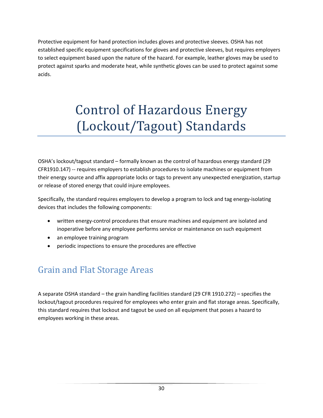Protective equipment for hand protection includes gloves and protective sleeves. OSHA has not established specific equipment specifications for gloves and protective sleeves, but requires employers to select equipment based upon the nature of the hazard. For example, leather gloves may be used to protect against sparks and moderate heat, while synthetic gloves can be used to protect against some acids.

# Control of Hazardous Energy (Lockout/Tagout) Standards

OSHA's lockout/tagout standard – formally known as the control of hazardous energy standard (29 CFR1910.147) ‐‐ requires employers to establish procedures to isolate machines or equipment from their energy source and affix appropriate locks or tags to prevent any unexpected energization, startup or release of stored energy that could injure employees.

Specifically, the standard requires employers to develop a program to lock and tag energy‐isolating devices that includes the following components:

- written energy‐control procedures that ensure machines and equipment are isolated and inoperative before any employee performs service or maintenance on such equipment
- an employee training program
- periodic inspections to ensure the procedures are effective

## Grain and Flat Storage Areas

A separate OSHA standard – the grain handling facilities standard (29 CFR 1910.272) – specifies the lockout/tagout procedures required for employees who enter grain and flat storage areas. Specifically, this standard requires that lockout and tagout be used on all equipment that poses a hazard to employees working in these areas.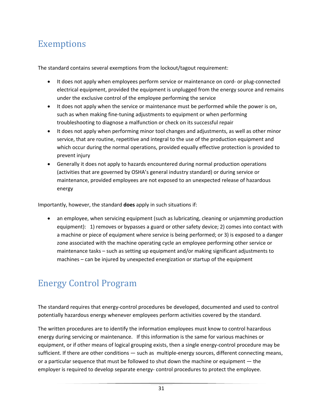### Exemptions

The standard contains several exemptions from the lockout/tagout requirement:

- It does not apply when employees perform service or maintenance on cord- or plug-connected electrical equipment, provided the equipment is unplugged from the energy source and remains under the exclusive control of the employee performing the service
- It does not apply when the service or maintenance must be performed while the power is on, such as when making fine-tuning adjustments to equipment or when performing troubleshooting to diagnose a malfunction or check on its successful repair
- It does not apply when performing minor tool changes and adjustments, as well as other minor service, that are routine, repetitive and integral to the use of the production equipment and which occur during the normal operations, provided equally effective protection is provided to prevent injury
- Generally it does not apply to hazards encountered during normal production operations (activities that are governed by OSHA's general industry standard) or during service or maintenance, provided employees are not exposed to an unexpected release of hazardous energy

Importantly, however, the standard **does** apply in such situations if:

 an employee, when servicing equipment (such as lubricating, cleaning or unjamming production equipment): 1) removes or bypasses a guard or other safety device; 2) comes into contact with a machine or piece of equipment where service is being performed; or 3) is exposed to a danger zone associated with the machine operating cycle an employee performing other service or maintenance tasks – such as setting up equipment and/or making significant adjustments to machines – can be injured by unexpected energization or startup of the equipment

## Energy Control Program

The standard requires that energy‐control procedures be developed, documented and used to control potentially hazardous energy whenever employees perform activities covered by the standard.

The written procedures are to identify the information employees must know to control hazardous energy during servicing or maintenance. If this information is the same for various machines or equipment, or if other means of logical grouping exists, then a single energy-control procedure may be sufficient. If there are other conditions — such as multiple-energy sources, different connecting means, or a particular sequence that must be followed to shut down the machine or equipment — the employer is required to develop separate energy-control procedures to protect the employee.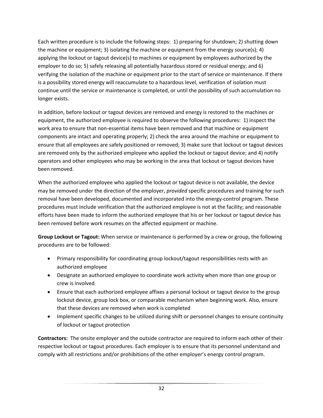Each written procedure is to include the following steps: 1) preparing for shutdown; 2) shutting down the machine or equipment; 3) isolating the machine or equipment from the energy source(s); 4) applying the lockout or tagout device(s) to machines or equipment by employees authorized by the employer to do so; 5) safely releasing all potentially hazardous stored or residual energy; and 6) verifying the isolation of the machine or equipment prior to the start of service or maintenance. If there is a possibility stored energy will reaccumulate to a hazardous level, verification of isolation must continue until the service or maintenance is completed, or until the possibility of such accumulation no longer exists.

In addition, before lockout or tagout devices are removed and energy is restored to the machines or equipment, the authorized employee is required to observe the following procedures: 1) inspect the work area to ensure that non‐essential items have been removed and that machine or equipment components are intact and operating properly; 2) check the area around the machine or equipment to ensure that all employees are safely positioned or removed; 3) make sure that lockout or tagout devices are removed only by the authorized employee who applied the lockout or tagout device; and 4) notify operators and other employees who may be working in the area that lockout or tagout devices have been removed.

When the authorized employee who applied the lockout or tagout device is not available, the device may be removed under the direction of the employer, *provided* specific procedures and training for such removal have been developed, documented and incorporated into the energy‐control program. These procedures must include verification that the authorized employee is not at the facility; and reasonable efforts have been made to inform the authorized employee that his or her lockout or tagout device has been removed before work resumes on the affected equipment or machine.

**Group Lockout or Tagout:** When service or maintenance is performed by a crew or group, the following procedures are to be followed:

- Primary responsibility for coordinating group lockout/tagout responsibilities rests with an authorized employee
- Designate an authorized employee to coordinate work activity when more than one group or crew is involved
- Ensure that each authorized employee affixes a personal lockout or tagout device to the group lockout device, group lock box, or comparable mechanism when beginning work. Also, ensure that these devices are removed when work is completed
- Implement specific changes to be utilized during shift or personnel changes to ensure continuity of lockout or tagout protection

**Contractors:** The onsite employer and the outside contractor are required to inform each other of their respective lockout or tagout procedures. Each employer is to ensure that its personnel understand and comply with all restrictions and/or prohibitions of the other employer's energy control program.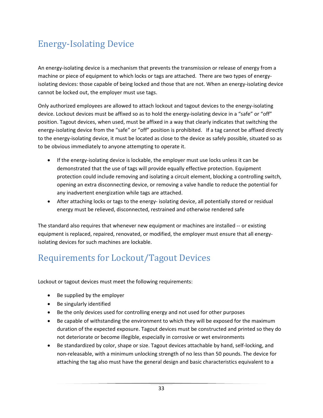## Energy‐Isolating Device

An energy‐isolating device is a mechanism that prevents the transmission or release of energy from a machine or piece of equipment to which locks or tags are attached. There are two types of energyisolating devices: those capable of being locked and those that are not. When an energy-isolating device cannot be locked out, the employer must use tags.

Only authorized employees are allowed to attach lockout and tagout devices to the energy‐isolating device. Lockout devices must be affixed so as to hold the energy‐isolating device in a "safe" or "off" position. Tagout devices, when used, must be affixed in a way that clearly indicates that switching the energy-isolating device from the "safe" or "off" position is prohibited. If a tag cannot be affixed directly to the energy‐isolating device, it must be located as close to the device as safely possible, situated so as to be obvious immediately to anyone attempting to operate it.

- If the energy-isolating device is lockable, the employer must use locks unless it can be demonstrated that the use of tags will provide equally effective protection. Equipment protection could include removing and isolating a circuit element, blocking a controlling switch, opening an extra disconnecting device, or removing a valve handle to reduce the potential for any inadvertent energization while tags are attached.
- After attaching locks or tags to the energy- isolating device, all potentially stored or residual energy must be relieved, disconnected, restrained and otherwise rendered safe

The standard also requires that whenever new equipment or machines are installed -- or existing equipment is replaced, repaired, renovated, or modified, the employer must ensure that all energy‐ isolating devices for such machines are lockable.

## Requirements for Lockout/Tagout Devices

Lockout or tagout devices must meet the following requirements:

- Be supplied by the employer
- Be singularly identified
- Be the only devices used for controlling energy and not used for other purposes
- Be capable of withstanding the environment to which they will be exposed for the maximum duration of the expected exposure. Tagout devices must be constructed and printed so they do not deteriorate or become illegible, especially in corrosive or wet environments
- Be standardized by color, shape or size. Tagout devices attachable by hand, self-locking, and non‐releasable, with a minimum unlocking strength of no less than 50 pounds. The device for attaching the tag also must have the general design and basic characteristics equivalent to a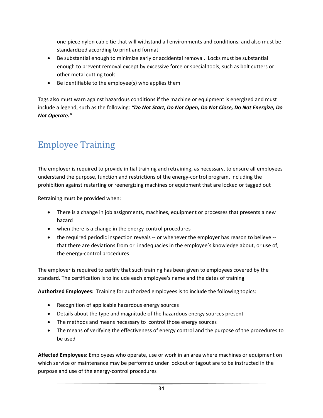one‐piece nylon cable tie that will withstand all environments and conditions; and also must be standardized according to print and format

- Be substantial enough to minimize early or accidental removal. Locks must be substantial enough to prevent removal except by excessive force or special tools, such as bolt cutters or other metal cutting tools
- Be identifiable to the employee(s) who applies them

Tags also must warn against hazardous conditions if the machine or equipment is energized and must include a legend, such as the following: *"Do Not Start, Do Not Open, Do Not Close, Do Not Energize, Do Not Operate."*

## Employee Training

The employer is required to provide initial training and retraining, as necessary, to ensure all employees understand the purpose, function and restrictions of the energy‐control program, including the prohibition against restarting or reenergizing machines or equipment that are locked or tagged out

Retraining must be provided when:

- There is a change in job assignments, machines, equipment or processes that presents a new hazard
- when there is a change in the energy-control procedures
- the required periodic inspection reveals -- or whenever the employer has reason to believe -that there are deviations from or inadequacies in the employee's knowledge about, or use of, the energy‐control procedures

The employer is required to certify that such training has been given to employees covered by the standard. The certification is to include each employee's name and the dates of training

**Authorized Employees:** Training for authorized employees is to include the following topics:

- Recognition of applicable hazardous energy sources
- Details about the type and magnitude of the hazardous energy sources present
- The methods and means necessary to control those energy sources
- The means of verifying the effectiveness of energy control and the purpose of the procedures to be used

**Affected Employees:** Employees who operate, use or work in an area where machines or equipment on which service or maintenance may be performed under lockout or tagout are to be instructed in the purpose and use of the energy‐control procedures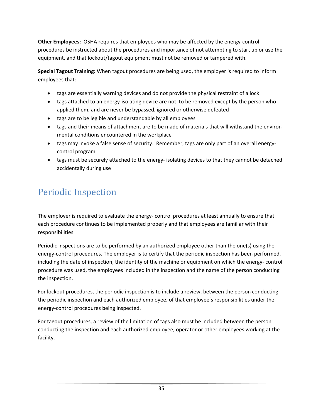**Other Employees:** OSHA requires that employees who may be affected by the energy-control procedures be instructed about the procedures and importance of not attempting to start up or use the equipment, and that lockout/tagout equipment must not be removed or tampered with.

**Special Tagout Training:** When tagout procedures are being used, the employer is required to inform employees that:

- tags are essentially warning devices and do not provide the physical restraint of a lock
- tags attached to an energy-isolating device are not to be removed except by the person who applied them, and are never be bypassed, ignored or otherwise defeated
- tags are to be legible and understandable by all employees
- tags and their means of attachment are to be made of materials that will withstand the environmental conditions encountered in the workplace
- tags may invoke a false sense of security. Remember, tags are only part of an overall energycontrol program
- tags must be securely attached to the energy- isolating devices to that they cannot be detached accidentally during use

# Periodic Inspection

The employer is required to evaluate the energy- control procedures at least annually to ensure that each procedure continues to be implemented properly and that employees are familiar with their responsibilities.

Periodic inspections are to be performed by an authorized employee other than the one(s) using the energy-control procedures. The employer is to certify that the periodic inspection has been performed, including the date of inspection, the identity of the machine or equipment on which the energy-control procedure was used, the employees included in the inspection and the name of the person conducting the inspection.

For lockout procedures, the periodic inspection is to include a review, between the person conducting the periodic inspection and each authorized employee, of that employee's responsibilities under the energy‐control procedures being inspected.

For tagout procedures, a review of the limitation of tags also must be included between the person conducting the inspection and each authorized employee, operator or other employees working at the facility.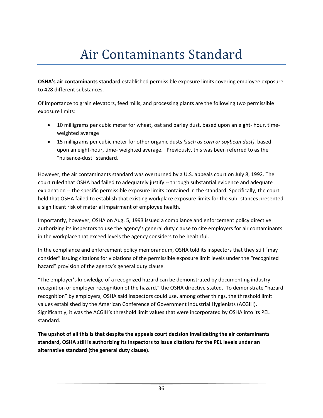# Air Contaminants Standard

**OSHA's air contaminants standard** established permissible exposure limits covering employee exposure to 428 different substances.

Of importance to grain elevators, feed mills, and processing plants are the following two permissible exposure limits:

- 10 milligrams per cubic meter for wheat, oat and barley dust, based upon an eight- hour, timeweighted average
- 15 milligrams per cubic meter for other organic dusts *(such as corn or soybean dust)*, based upon an eight-hour, time- weighted average. Previously, this was been referred to as the "nuisance‐dust" standard.

However, the air contaminants standard was overturned by a U.S. appeals court on July 8, 1992. The court ruled that OSHA had failed to adequately justify ‐‐ through substantial evidence and adequate explanation -- the specific permissible exposure limits contained in the standard. Specifically, the court held that OSHA failed to establish that existing workplace exposure limits for the sub-stances presented a significant risk of material impairment of employee health.

Importantly, however, OSHA on Aug. 5, 1993 issued a compliance and enforcement policy directive authorizing its inspectors to use the agency's general duty clause to cite employers for air contaminants in the workplace that exceed levels the agency considers to be healthful.

In the compliance and enforcement policy memorandum, OSHA told its inspectors that they still "may consider" issuing citations for violations of the permissible exposure limit levels under the "recognized hazard" provision of the agency's general duty clause.

"The employer's knowledge of a recognized hazard can be demonstrated by documenting industry recognition or employer recognition of the hazard," the OSHA directive stated. To demonstrate "hazard recognition" by employers, OSHA said inspectors could use, among other things, the threshold limit values established by the American Conference of Government Industrial Hygienists (ACGIH). Significantly, it was the ACGIH's threshold limit values that were incorporated by OSHA into its PEL standard.

**The upshot of all this is that despite the appeals court decision invalidating the air contaminants standard, OSHA still is authorizing its inspectors to issue citations for the PEL levels under an alternative standard (the general duty clause)**.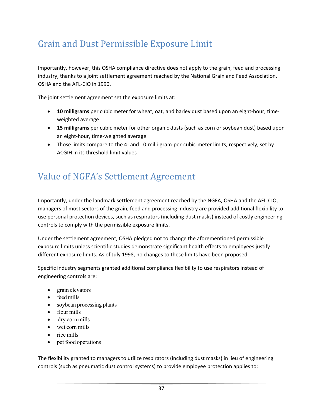## Grain and Dust Permissible Exposure Limit

Importantly, however, this OSHA compliance directive does not apply to the grain, feed and processing industry, thanks to a joint settlement agreement reached by the National Grain and Feed Association, OSHA and the AFL‐CIO in 1990.

The joint settlement agreement set the exposure limits at:

- **10 milligrams** per cubic meter for wheat, oat, and barley dust based upon an eight-hour, time weighted average
- **15 milligrams** per cubic meter for other organic dusts (such as corn or soybean dust) based upon an eight‐hour, time‐weighted average
- Those limits compare to the 4- and 10-milli-gram-per-cubic-meter limits, respectively, set by ACGIH in its threshold limit values

### Value of NGFA's Settlement Agreement

Importantly, under the landmark settlement agreement reached by the NGFA, OSHA and the AFL‐CIO, managers of most sectors of the grain, feed and processing industry are provided additional flexibility to use personal protection devices, such as respirators (including dust masks) instead of costly engineering controls to comply with the permissible exposure limits.

Under the settlement agreement, OSHA pledged not to change the aforementioned permissible exposure limits unless scientific studies demonstrate significant health effects to employees justify different exposure limits. As of July 1998, no changes to these limits have been proposed

Specific industry segments granted additional compliance flexibility to use respirators instead of engineering controls are:

- grain elevators
- feed mills
- soybean processing plants
- flour mills
- dry corn mills
- wet corn mills
- $\bullet$  rice mills
- pet food operations

The flexibility granted to managers to utilize respirators (including dust masks) in lieu of engineering controls (such as pneumatic dust control systems) to provide employee protection applies to: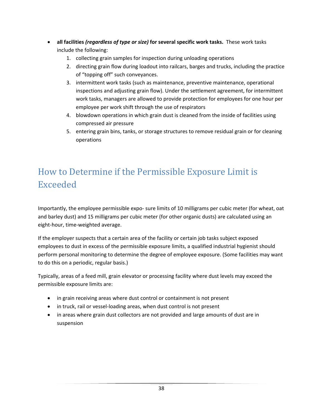- **all facilities** *(regardless of type or size)* **for several specific work tasks.** These work tasks include the following:
	- 1. collecting grain samples for inspection during unloading operations
	- 2. directing grain flow during loadout into railcars, barges and trucks, including the practice of "topping off" such conveyances.
	- 3. intermittent work tasks (such as maintenance, preventive maintenance, operational inspections and adjusting grain flow). Under the settlement agreement, for intermittent work tasks, managers are allowed to provide protection for employees for one hour per employee per work shift through the use of respirators
	- 4. blowdown operations in which grain dust is cleaned from the inside of facilities using compressed air pressure
	- 5. entering grain bins, tanks, or storage structures to remove residual grain or for cleaning operations

## How to Determine if the Permissible Exposure Limit is Exceeded

Importantly, the employee permissible expo- sure limits of 10 milligrams per cubic meter (for wheat, oat and barley dust) and 15 milligrams per cubic meter (for other organic dusts) are calculated using an eight‐hour, time‐weighted average.

If the employer suspects that a certain area of the facility or certain job tasks subject exposed employees to dust in excess of the permissible exposure limits, a qualified industrial hygienist should perform personal monitoring to determine the degree of employee exposure. (Some facilities may want to do this on a periodic, regular basis.)

Typically, areas of a feed mill, grain elevator or processing facility where dust levels may exceed the permissible exposure limits are:

- in grain receiving areas where dust control or containment is not present
- in truck, rail or vessel-loading areas, when dust control is not present
- in areas where grain dust collectors are not provided and large amounts of dust are in suspension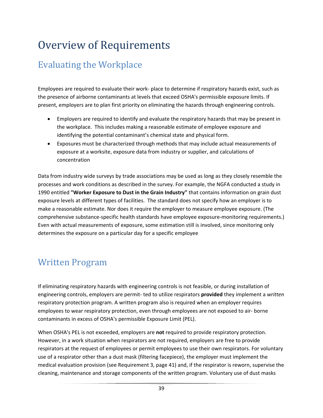# Overview of Requirements

### **Evaluating the Workplace**

Employees are required to evaluate their work‐ place to determine if respiratory hazards exist, such as the presence of airborne contaminants at levels that exceed OSHA's permissible exposure limits. If present, employers are to plan first priority on eliminating the hazards through engineering controls.

- Employers are required to identify and evaluate the respiratory hazards that may be present in the workplace. This includes making a reasonable estimate of employee exposure and identifying the potential contaminant's chemical state and physical form.
- Exposures must be characterized through methods that may include actual measurements of exposure at a worksite, exposure data from industry or supplier, and calculations of concentration

Data from industry wide surveys by trade associations may be used as long as they closely resemble the processes and work conditions as described in the survey. For example, the NGFA conducted a study in 1990 entitled **"Worker Exposure to Dust in the Grain Industry"** that contains information on grain dust exposure levels at different types of facilities. The standard does not specify how an employer is to make a reasonable estimate. Nor does it require the employer to measure employee exposure. (The comprehensive substance-specific health standards have employee exposure-monitoring requirements.) Even with actual measurements of exposure, some estimation still is involved, since monitoring only determines the exposure on a particular day for a specific employee

### Written Program

If eliminating respiratory hazards with engineering controls is not feasible, or during installation of engineering controls, employers are permit‐ ted to utilize respirators **provided** they implement a *written*  respiratory protection program. A written program also is required when an employer requires employees to wear respiratory protection, even through employees are not exposed to air‐ borne contaminants in excess of OSHA's permissible Exposure Limit (PEL).

When OSHA's PEL is not exceeded, employers are **not** required to provide respiratory protection. However, in a work situation when respirators are not required, employers are free to provide respirators at the request of employees or permit employees to use their own respirators. For voluntary use of a respirator other than a dust mask (filtering facepiece), the employer must implement the medical evaluation provision (see Requirement 3, page 41) and, if the respirator is reworn, supervise the cleaning, maintenance and storage components of the written program. Voluntary use of dust masks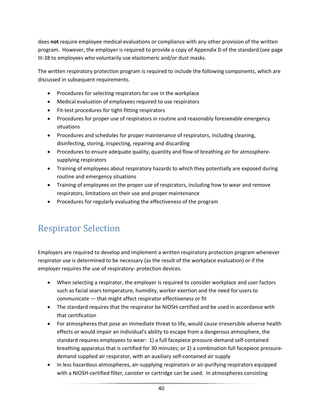does **not** require employee medical evaluations or compliance with any other provision of the written program. However, the employer is required to provide a copy of Appendix D of the standard (see page III‐38 to employees who voluntarily use elastomeric and/or dust masks.

The written respiratory protection program is required to include the following components, which are discussed in subsequent requirements.

- Procedures for selecting respirators for use in the workplace
- Medical evaluation of employees required to use respirators
- Fit-test procedures for tight-fitting respirators
- Procedures for proper use of respirators in routine and reasonably foreseeable emergency situations
- Procedures and schedules for proper maintenance of respirators, including cleaning, disinfecting, storing, inspecting, repairing and discarding
- Procedures to ensure adequate quality, quantity and flow of breathing air for atmospheresupplying respirators
- Training of employees about respiratory hazards to which they potentially are exposed during routine and emergency situations
- Training of employees on the proper use of respirators, including how to wear and remove respirators, limitations on their use and proper maintenance
- Procedures for regularly evaluating the effectiveness of the program

### **Respirator Selection**

Employers are required to develop and implement a written respiratory protection program whenever respirator use is determined to be necessary (as the result of the workplace evaluation) or if the employer requires the use of respiratory‐ protection devices.

- When selecting a respirator, the employer is required to consider workplace and user factors such as facial sears temperature, humidity, worker exertion and the need for users to communicate — that might affect respirator effectiveness or fit
- The standard requires that the respirator be NIOSH-certified and be used in accordance with that certification
- For atmospheres that pose an immediate threat to life, would cause irreversible adverse health effects or would impair an individual's ability to escape from a dangerous atmosphere, the standard requires employees to wear: 1) a full facepiece pressure‐demand self‐contained breathing apparatus that is certified for 30 minutes; or 2) a combination full facepiece pressure‐ demand supplied air respirator, with an auxiliary self‐contained air supply
- In less hazardous atmospheres, air-supplying respirators or air-purifying respirators equipped with a NIOSH-certified filter, canister or cartridge can be used. In atmospheres consisting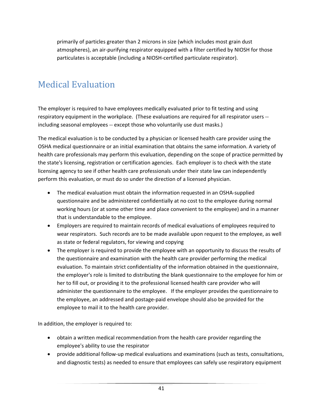primarily of particles greater than 2 microns in size (which includes most grain dust atmospheres), an air-purifying respirator equipped with a filter certified by NIOSH for those particulates is acceptable (including a NIOSH‐certified particulate respirator).

### Medical Evaluation

The employer is required to have employees medically evaluated prior to fit testing and using respiratory equipment in the workplace. (These evaluations are required for all respirator users ‐‐ including seasonal employees ‐‐ except those who voluntarily use dust masks.)

The medical evaluation is to be conducted by a physician or licensed health care provider using the OSHA medical questionnaire or an initial examination that obtains the same information. A variety of health care professionals may perform this evaluation, depending on the scope of practice permitted by the state's licensing, registration or certification agencies. Each employer is to check with the state licensing agency to see if other health care professionals under their state law can independently perform this evaluation, or must do so under the direction of a licensed physician.

- The medical evaluation must obtain the information requested in an OSHA‐supplied questionnaire and be administered confidentially at no cost to the employee during normal working hours (or at some other time and place convenient to the employee) and in a manner that is understandable to the employee.
- Employers are required to maintain records of medical evaluations of employees required to wear respirators. Such records are to be made available upon request to the employee, as well as state or federal regulators, for viewing and copying
- The employer is required to provide the employee with an opportunity to discuss the results of the questionnaire and examination with the health care provider performing the medical evaluation. To maintain strict confidentiality of the information obtained in the questionnaire, the employer's role is limited to distributing the blank questionnaire to the employee for him or her to fill out, or providing it to the professional licensed health care provider who will administer the questionnaire to the employee. If the employer provides the questionnaire to the employee, an addressed and postage‐paid envelope should also be provided for the employee to mail it to the health care provider.

In addition, the employer is required to:

- obtain a written medical recommendation from the health care provider regarding the employee's ability to use the respirator
- provide additional follow-up medical evaluations and examinations (such as tests, consultations, and diagnostic tests) as needed to ensure that employees can safely use respiratory equipment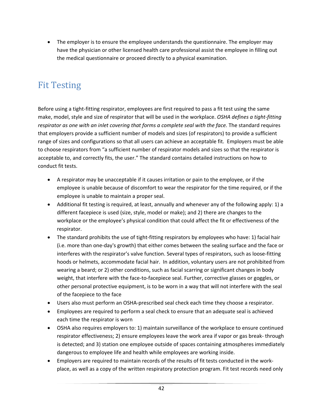• The employer is to ensure the employee understands the questionnaire. The employer may have the physician or other licensed health care professional assist the employee in filling out the medical questionnaire or proceed directly to a physical examination.

### **Fit Testing**

Before using a tight‐fitting respirator, employees are first required to pass a fit test using the same make, model, style and size of respirator that will be used in the workplace. *OSHA defines a tight‐fitting respirator as one with an inlet covering that forms a complete seal with the face.* The standard requires that employers provide a sufficient number of models and sizes (of respirators) to provide a sufficient range of sizes and configurations so that all users can achieve an acceptable fit. Employers must be able to choose respirators from "a sufficient number of respirator models and sizes so that the respirator is acceptable to, and correctly fits, the user." The standard contains detailed instructions on how to conduct fit tests.

- A respirator may be unacceptable if it causes irritation or pain to the employee, or if the employee is unable because of discomfort to wear the respirator for the time required, or if the employee is unable to maintain a proper seal.
- Additional fit testing is required, at least, annually and whenever any of the following apply: 1) a different facepiece is used (size, style, model or make); and 2) there are changes to the workplace or the employee's physical condition that could affect the fit or effectiveness of the respirator.
- The standard prohibits the use of tight-fitting respirators by employees who have: 1) facial hair (i.e. more than one‐day's growth) that either comes between the sealing surface and the face or interferes with the respirator's valve function. Several types of respirators, such as loose‐fitting hoods or helmets, accommodate facial hair. In addition, voluntary users are not prohibited from wearing a beard; or 2) other conditions, such as facial scarring or significant changes in body weight, that interfere with the face-to-facepiece seal. Further, corrective glasses or goggles, or other personal protective equipment, is to be worn in a way that will not interfere with the seal of the facepiece to the face
- Users also must perform an OSHA‐prescribed seal check each time they choose a respirator.
- Employees are required to perform a seal check to ensure that an adequate seal is achieved each time the respirator is worn
- OSHA also requires employers to: 1) maintain surveillance of the workplace to ensure continued respirator effectiveness; 2) ensure employees leave the work area if vapor or gas break‐ through is detected; and 3) station one employee outside of spaces containing atmospheres immediately dangerous to employee life and health while employees are working inside.
- Employers are required to maintain records of the results of fit tests conducted in the work‐ place, as well as a copy of the written respiratory protection program. Fit test records need only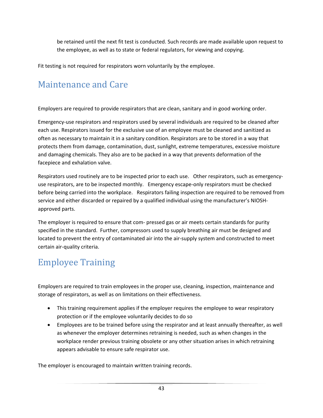be retained until the next fit test is conducted. Such records are made available upon request to the employee, as well as to state or federal regulators, for viewing and copying.

Fit testing is not required for respirators worn voluntarily by the employee.

## Maintenance and Care

Employers are required to provide respirators that are clean, sanitary and in good working order.

Emergency‐use respirators and respirators used by several individuals are required to be cleaned after each use. Respirators issued for the exclusive use of an employee must be cleaned and sanitized as often as necessary to maintain it in a sanitary condition. Respirators are to be stored in a way that protects them from damage, contamination, dust, sunlight, extreme temperatures, excessive moisture and damaging chemicals. They also are to be packed in a way that prevents deformation of the facepiece and exhalation valve.

Respirators used routinely are to be inspected prior to each use. Other respirators, such as emergencyuse respirators, are to be inspected monthly. Emergency escape-only respirators must be checked before being carried into the workplace. Respirators failing inspection are required to be removed from service and either discarded or repaired by a qualified individual using the manufacturer's NIOSH‐ approved parts.

The employer is required to ensure that com- pressed gas or air meets certain standards for purity specified in the standard. Further, compressors used to supply breathing air must be designed and located to prevent the entry of contaminated air into the air‐supply system and constructed to meet certain air‐quality criteria.

## Employee Training

Employers are required to train employees in the proper use, cleaning, inspection, maintenance and storage of respirators, as well as on limitations on their effectiveness.

- This training requirement applies if the employer requires the employee to wear respiratory protection or if the employee voluntarily decides to do so
- Employees are to be trained before using the respirator and at least annually thereafter, as well as whenever the employer determines retraining is needed, such as when changes in the workplace render previous training obsolete or any other situation arises in which retraining appears advisable to ensure safe respirator use.

The employer is encouraged to maintain written training records.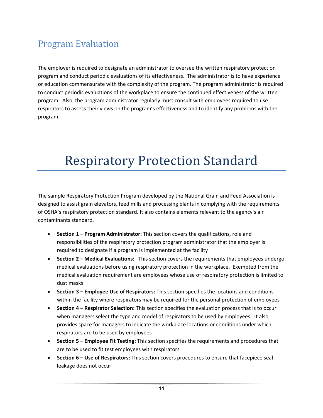## **Program Evaluation**

The employer is required to designate an administrator to oversee the written respiratory protection program and conduct periodic evaluations of its effectiveness. The administrator is to have experience or education commensurate with the complexity of the program. The program administrator is required to conduct periodic evaluations of the workplace to ensure the continued effectiveness of the written program. Also, the program administrator regularly must consult with employees required to use respirators to assess their views on the program's effectiveness and to identify any problems with the program.

# **Respiratory Protection Standard**

The sample Respiratory Protection Program developed by the National Grain and Feed Association is designed to assist grain elevators, feed mills and processing plants in complying with the requirements of OSHA's respiratory protection standard. It also contains elements relevant to the agency's air contaminants standard.

- **Section 1 Program Administrator:** This section covers the qualifications, role and responsibilities of the respiratory protection program administrator that the employer is required to designate if a program is implemented at the facility
- **Section 2 Medical Evaluations:** This section covers the requirements that employees undergo medical evaluations before using respiratory protection in the workplace. Exempted from the medical evaluation requirement are employees whose use of respiratory protection is limited to dust masks
- **Section 3 Employee Use of Respirators:** This section specifies the locations and conditions within the facility where respirators may be required for the personal protection of employees
- **Section 4 Respirator Selection:** This section specifies the evaluation process that is to occur when managers select the type and model of respirators to be used by employees. It also provides space for managers to indicate the workplace locations or conditions under which respirators are to be used by employees
- **Section 5 Employee Fit Testing:** This section specifies the requirements and procedures that are to be used to fit test employees with respirators
- **Section 6 Use of Respirators:** This section covers procedures to ensure that facepiece seal leakage does not occur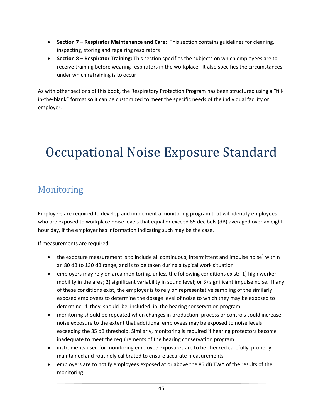- **Section 7 Respirator Maintenance and Care:** This section contains guidelines for cleaning, inspecting, storing and repairing respirators
- **Section 8 Respirator Training:** This section specifies the subjects on which employees are to receive training before wearing respirators in the workplace. It also specifies the circumstances under which retraining is to occur

As with other sections of this book, the Respiratory Protection Program has been structured using a "fill‐ in-the-blank" format so it can be customized to meet the specific needs of the individual facility or employer.

# Occupational Noise Exposure Standard

### Monitoring

Employers are required to develop and implement a monitoring program that will identify employees who are exposed to workplace noise levels that equal or exceed 85 decibels (dB) averaged over an eighthour day, if the employer has information indicating such may be the case.

If measurements are required:

- the exposure measurement is to include all continuous, intermittent and impulse noise<sup>1</sup> within an 80 dB to 130 dB range, and is to be taken during a typical work situation
- employers may rely on area monitoring, unless the following conditions exist: 1) high worker mobility in the area; 2) significant variability in sound level; or 3) significant impulse noise. If any of these conditions exist, the employer is to rely on representative sampling of the similarly exposed employees to determine the dosage level of noise to which they may be exposed to determine if they should be included in the hearing conservation program
- monitoring should be repeated when changes in production, process or controls could increase noise exposure to the extent that additional employees may be exposed to noise levels exceeding the 85 dB threshold. Similarly, monitoring is required if hearing protectors become inadequate to meet the requirements of the hearing conservation program
- instruments used for monitoring employee exposures are to be checked carefully, properly maintained and routinely calibrated to ensure accurate measurements
- employers are to notify employees exposed at or above the 85 dB TWA of the results of the monitoring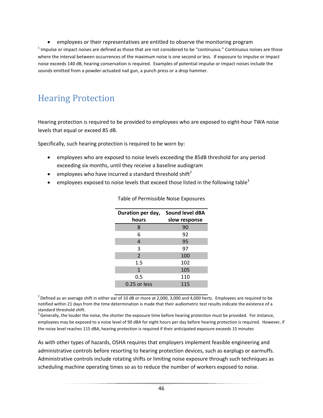employees or their representatives are entitled to observe the monitoring program  $1$  Impulse or impact noises are defined as those that are not considered to be "continuous." Continuous noises are those where the interval between occurrences of the maximum noise is one second or less. If exposure to impulse or impact noise exceeds 140 dB, hearing conservation is required. Examples of potential impulse or impact noises include the sounds emitted from a powder‐actuated nail gun, a punch press or a drop hammer.

#### **Hearing Protection**

Hearing protection is required to be provided to employees who are exposed to eight-hour TWA noise levels that equal or exceed 85 dB.

Specifically, such hearing protection is required to be worn by:

- employees who are exposed to noise levels exceeding the 85dB threshold for any period exceeding six months, until they receive a baseline audiogram
- e employees who have incurred a standard threshold shift<sup>2</sup>
- **e** employees exposed to noise levels that exceed those listed in the following table<sup>3</sup>

| Duration per day, | Sound level dBA |
|-------------------|-----------------|
| hours             | slow response   |
| 8                 | 90              |
| 6                 | 92              |
| 4                 | 95              |
| 3                 | 97              |
| $\overline{2}$    | 100             |
| 1.5               | 102             |
| 1                 | 105             |
| 0.5               | 110             |
| 0.25 or less      | 115             |
|                   |                 |

#### Table of Permissible Noise Exposures

 $2$  Defined as an average shift in either ear of 10 dB or more at 2,000, 3,000 and 4,000 hertz. Employees are required to be notified within 21 days from the time determination is made that their audiometric test results indicate the existence of a standard threshold shift.

 $3$  Generally, the louder the noise, the shorter the exposure time before hearing protection must be provided. For instance, employees may be exposed to a noise level of 90 dBA for eight hours per day before hearing protection is required. However, if the noise level reaches 115 dBA, hearing protection is required if their anticipated exposure exceeds 15 minutes

As with other types of hazards, OSHA requires that employers implement feasible engineering and administrative controls before resorting to hearing protection devices, such as earplugs or earmuffs. Administrative controls include rotating shifts or limiting noise exposure through such techniques as scheduling machine operating times so as to reduce the number of workers exposed to noise.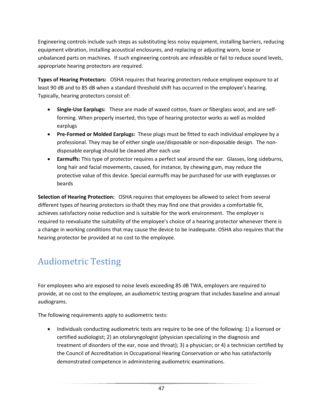Engineering controls include such steps as substituting less noisy equipment, installing barriers, reducing equipment vibration, installing acoustical enclosures, and replacing or adjusting worn, loose or unbalanced parts on machines. If such engineering controls are infeasible or fail to reduce sound levels, appropriate hearing protectors are required.

Types of Hearing Protectors: OSHA requires that hearing protectors reduce employee exposure to at least 90 dB and to 85 dB when a standard threshold shift has occurred in the employee's hearing. Typically, hearing protectors consist of:

- **Single‐Use Earplugs:** These are made of waxed cotton, foam or fiberglass wool, and are self‐ forming. When properly inserted, this type of hearing protector works as well as molded earplugs
- **Pre-Formed or Molded Earplugs:** These plugs must be fitted to each individual employee by a professional. They may be of either single use/disposable or non‐disposable design. The non‐ disposable earplug should be cleaned after each use
- **Earmuffs:** This type of protector requires a perfect seal around the ear. Glasses, long sideburns, long hair and facial movements, caused, for instance, by chewing gum, may reduce the protective value of this device. Special earmuffs may be purchased for use with eyeglasses or beards

Selection of Hearing Protection: OSHA requires that employees be allowed to select from several different types of hearing protectors so tha0t they may find one that provides a comfortable fit, achieves satisfactory noise reduction and is suitable for the work environment. The employer is required to reevaluate the suitability of the employee's choice of a hearing protector whenever there is a change in working conditions that may cause the device to be inadequate. OSHA also requires that the hearing protector be provided at no cost to the employee.

# Audiometric Testing

For employees who are exposed to noise levels exceeding 85 dB TWA, employers are required to provide, at no cost to the employee, an audiometric testing program that includes baseline and annual audiograms.

The following requirements apply to audiometric tests:

 Individuals conducting audiometric tests are require to be one of the following: 1) a licensed or certified audiologist; 2) an otolaryngologist (physician specializing in the diagnosis and treatment of disorders of the ear, nose and throat); 3) a physician; or 4) a technician certified by the Council of Accreditation in Occupational Hearing Conservation or who has satisfactorily demonstrated competence in administering audiometric examinations.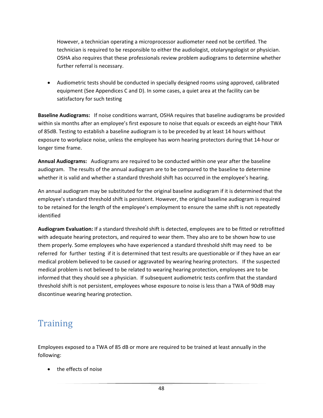However, a technician operating a microprocessor audiometer need not be certified. The technician is required to be responsible to either the audiologist, otolaryngologist or physician. OSHA also requires that these professionals review problem audiograms to determine whether further referral is necessary.

 Audiometric tests should be conducted in specially designed rooms using approved, calibrated equipment (See Appendices C and D). In some cases, a quiet area at the facility can be satisfactory for such testing

Baseline Audiograms: If noise conditions warrant, OSHA requires that baseline audiograms be provided within six months after an employee's first exposure to noise that equals or exceeds an eight‐hour TWA of 85dB. Testing to establish a baseline audiogram is to be preceded by at least 14 hours without exposure to workplace noise, unless the employee has worn hearing protectors during that 14‐hour or longer time frame.

**Annual Audiograms:** Audiograms are required to be conducted within one year after the baseline audiogram. The results of the annual audiogram are to be compared to the baseline to determine whether it is valid and whether a standard threshold shift has occurred in the employee's hearing.

An annual audiogram may be substituted for the original baseline audiogram if it is determined that the employee's standard threshold shift is persistent. However, the original baseline audiogram is required to be retained for the length of the employee's employment to ensure the same shift is not repeatedly identified

**Audiogram Evaluation:** If a standard threshold shift is detected, employees are to be fitted or retrofitted with adequate hearing protectors, and required to wear them. They also are to be shown how to use them properly. Some employees who have experienced a standard threshold shift may need to be referred for further testing if it is determined that test results are questionable or if they have an ear medical problem believed to be caused or aggravated by wearing hearing protectors. If the suspected medical problem is not believed to be related to wearing hearing protection, employees are to be informed that they should see a physician. If subsequent audiometric tests confirm that the standard threshold shift is not persistent, employees whose exposure to noise is less than a TWA of 90dB may discontinue wearing hearing protection.

### **Training**

Employees exposed to a TWA of 85 dB or more are required to be trained at least annually in the following:

• the effects of noise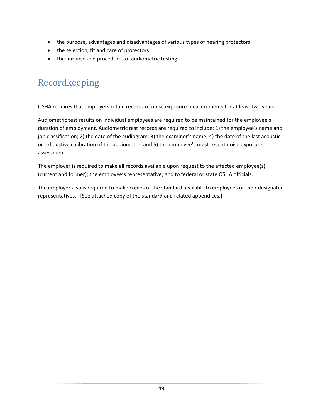- the purpose, advantages and disadvantages of various types of hearing protectors
- the selection, fit and care of protectors
- the purpose and procedures of audiometric testing

## Recordkeeping

OSHA requires that employers retain records of noise exposure measurements for at least two years.

Audiometric test results on individual employees are required to be maintained for the employee's duration of employment. Audiometric test records are required to include: 1) the employee's name and job classification; 2) the date of the audiogram; 3) the examiner's name; 4) the date of the last acoustic or exhaustive calibration of the audiometer; and 5) the employee's most recent noise exposure assessment.

The employer is required to make all records available upon request to the affected employee(s) (current and former); the employee's representative; and to federal or state OSHA officials.

The employer also is required to make copies of the standard available to employees or their designated representatives. [See attached copy of the standard and related appendices.]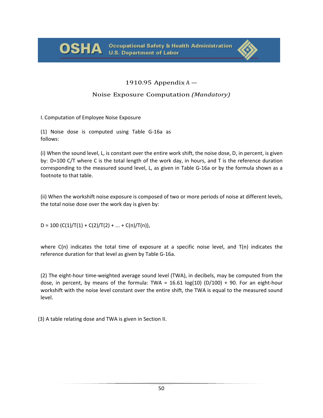

#### 1910.95 Appendix  $A -$

#### Noise Exposure Computation *(Mandatory)*

I. Computation of Employee Noise Exposure

(1) Noise dose is computed using Table G‐16a as follows:

(i) When the sound level, L, is constant over the entire work shift, the noise dose, D, in percent, is given by: D=100 C/T where C is the total length of the work day, in hours, and T is the reference duration corresponding to the measured sound level, L, as given in Table G-16a or by the formula shown as a footnote to that table.

(ii) When the workshift noise exposure is composed of two or more periods of noise at different levels, the total noise dose over the work day is given by:

 $D = 100 (C(1)/T(1) + C(2)/T(2) + ... + C(n)/T(n)),$ 

where  $C(n)$  indicates the total time of exposure at a specific noise level, and  $T(n)$  indicates the reference duration for that level as given by Table G‐16a.

(2) The eight‐hour time‐weighted average sound level (TWA), in decibels, may be computed from the dose, in percent, by means of the formula:  $TWA = 16.61 \log(10) (D/100) + 90$ . For an eight-hour workshift with the noise level constant over the entire shift, the TWA is equal to the measured sound level.

(3) A table relating dose and TWA is given in Section II.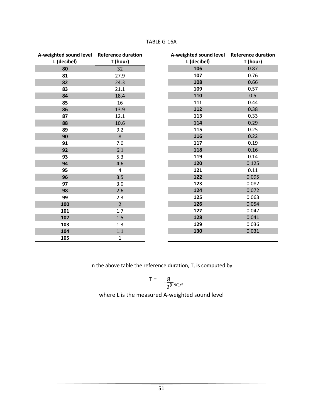| A-weighted sound level Reference duration<br>L (decibel) | T (hour)       | L (decibel) | A-weighted sound level Reference duration<br>T (hour) |
|----------------------------------------------------------|----------------|-------------|-------------------------------------------------------|
| 80                                                       | 32             | 106         | 0.87                                                  |
| 81                                                       | 27.9           | 107         | 0.76                                                  |
| 82                                                       | 24.3           | 108         | 0.66                                                  |
| 83                                                       | 21.1           | 109         | 0.57                                                  |
| 84                                                       | 18.4           | 110         | 0.5                                                   |
| 85                                                       | 16             | 111         | 0.44                                                  |
| 86                                                       | 13.9           | 112         | 0.38                                                  |
| 87                                                       | 12.1           | 113         | 0.33                                                  |
| 88                                                       | 10.6           | 114         | 0.29                                                  |
| 89                                                       | 9.2            | 115         | 0.25                                                  |
| 90                                                       | 8              | 116         | 0.22                                                  |
| 91                                                       | 7.0            | 117         | 0.19                                                  |
| 92                                                       | $6.1\,$        | 118         | 0.16                                                  |
| 93                                                       | 5.3            | 119         | 0.14                                                  |
| 94                                                       | 4.6            | 120         | 0.125                                                 |
| 95                                                       | $\overline{4}$ | 121         | 0.11                                                  |
| 96                                                       | 3.5            | 122         | 0.095                                                 |
| 97                                                       | 3.0            | 123         | 0.082                                                 |
| 98                                                       | $2.6$          | 124         | 0.072                                                 |
| 99                                                       | 2.3            | 125         | 0.063                                                 |
| 100                                                      | $\overline{2}$ | 126         | 0.054                                                 |
| 101                                                      | 1.7            | 127         | 0.047                                                 |
| 102                                                      | 1.5            | 128         | 0.041                                                 |
| 103                                                      | 1.3            | 129         | 0.036                                                 |
| 104                                                      | $1.1\,$        | 130         | 0.031                                                 |
| 105                                                      | $\mathbf 1$    |             |                                                       |

#### TABLE G‐16A

In the above table the reference duration, T, is computed by

$$
T = \frac{8}{2^{(L-90)/5}}
$$

where L is the measured A-weighted sound level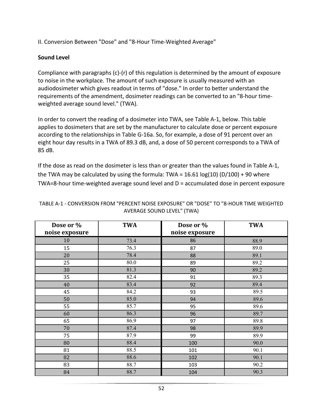II. Conversion Between "Dose" and "8‐Hour Time‐Weighted Average"

#### **Sound Level**

Compliance with paragraphs (c)‐(r) of this regulation is determined by the amount of exposure to noise in the workplace. The amount of such exposure is usually measured with an audiodosimeter which gives readout in terms of "dose." In order to better understand the requirements of the amendment, dosimeter readings can be converted to an "8‐hour time‐ weighted average sound level." (TWA).

In order to convert the reading of a dosimeter into TWA, see Table A‐1, below. This table applies to dosimeters that are set by the manufacturer to calculate dose or percent exposure according to the relationships in Table G‐16a. So, for example, a dose of 91 percent over an eight hour day results in a TWA of 89.3 dB, and, a dose of 50 percent corresponds to a TWA of 85 dB.

If the dose as read on the dosimeter is less than or greater than the values found in Table A‐1, the TWA may be calculated by using the formula: TWA =  $16.61 \log(10)$  (D/100) + 90 where TWA=8‐hour time‐weighted average sound level and D = accumulated dose in percent exposure

| Dose or %      | <b>TWA</b> | Dose or %      | <b>TWA</b> |
|----------------|------------|----------------|------------|
| noise exposure |            | noise exposure |            |
| 10             | 73.4       | 86             | 88.9       |
| 15             | 76.3       | 87             | 89.0       |
| 20             | 78.4       | 88             | 89.1       |
| 25             | 80.0       | 89             | 89.2       |
| 30             | 81.3       | 90             | 89.2       |
| 35             | 82.4       | 91             | 89.3       |
| 40             | 83.4       | 92             | 89.4       |
| 45             | 84.2       | 93             | 89.5       |
| 50             | 85.0       | 94             | 89.6       |
| 55             | 85.7       | 95             | 89.6       |
| 60             | 86.3       | 96             | 89.7       |
| 65             | 86.9       | 97             | 89.8       |
| 70             | 87.4       | 98             | 89.9       |
| 75             | 87.9       | 99             | 89.9       |
| 80             | 88.4       | 100            | 90.0       |
| 81             | 88.5       | 101            | 90.1       |
| 82             | 88.6       | 102            | 90.1       |
| 83             | 88.7       | 103            | 90.2       |
| 84             | 88.7       | 104            | 90.3       |

TABLE A‐1 ‐ CONVERSION FROM "PERCENT NOISE EXPOSURE" OR "DOSE" TO "8‐HOUR TIME WEIGHTED AVERAGE SOUND LEVEL" (TWA)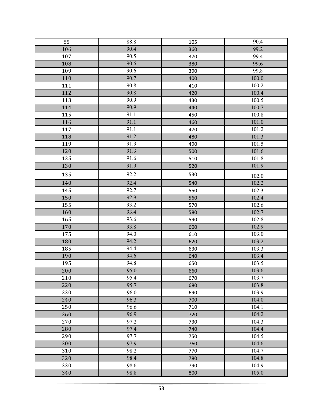| 85  | 88.8              | 105 | 90.4  |
|-----|-------------------|-----|-------|
| 106 | 90.4              | 360 | 99.2  |
| 107 | 90.5              | 370 | 99.4  |
| 108 | 90.6              | 380 | 99.6  |
| 109 | 90.6              | 390 | 99.8  |
| 110 | 90.7              | 400 | 100.0 |
| 111 | 90.8              | 410 | 100.2 |
| 112 | 90.8              | 420 | 100.4 |
| 113 | 90.9              | 430 | 100.5 |
| 114 | 90.9              | 440 | 100.7 |
| 115 | 91.1              | 450 | 100.8 |
| 116 | 91.1              | 460 | 101.0 |
| 117 | 91.1              | 470 | 101.2 |
| 118 | 91.2              | 480 | 101.3 |
| 119 | 91.3              | 490 | 101.5 |
| 120 | 91.3              | 500 | 101.6 |
| 125 | 91.6              | 510 | 101.8 |
| 130 | 91.9              | 520 | 101.9 |
| 135 | 92.2              | 530 | 102.0 |
| 140 | 92.4              | 540 | 102.2 |
| 145 | 92.7              | 550 | 102.3 |
| 150 | 92.9              | 560 | 102.4 |
| 155 | 93.2              | 570 | 102.6 |
| 160 | 93.4              | 580 | 102.7 |
| 165 | 93.6              | 590 | 102.8 |
| 170 | 93.8              | 600 | 102.9 |
| 175 | 94.0              | 610 | 103.0 |
| 180 | 94.2              | 620 | 103.2 |
| 185 | 94.4              | 630 | 103.3 |
| 190 | 94.6              | 640 | 103.4 |
| 195 | $\overline{9}4.8$ | 650 | 103.5 |
| 200 | 95.0              | 660 | 103.6 |
| 210 | 95.4              | 670 | 103.7 |
| 220 | 95.7              | 680 | 103.8 |
| 230 | 96.0              | 690 | 103.9 |
| 240 | 96.3              | 700 | 104.0 |
| 250 | 96.6              | 710 | 104.1 |
| 260 | 96.9              | 720 | 104.2 |
| 270 | 97.2              | 730 | 104.3 |
| 280 | 97.4              | 740 | 104.4 |
| 290 | 97.7              | 750 | 104.5 |
| 300 | 97.9              | 760 | 104.6 |
| 310 | 98.2              | 770 | 104.7 |
| 320 | 98.4              | 780 | 104.8 |
| 330 | 98.6              | 790 | 104.9 |
| 340 | 98.8              | 800 | 105.0 |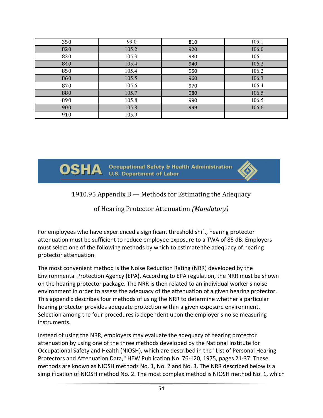| 350 | 99.0  | 810 | 105.1 |
|-----|-------|-----|-------|
| 820 | 105.2 | 920 | 106.0 |
| 830 | 105.3 | 930 | 106.1 |
| 840 | 105.4 | 940 | 106.2 |
| 850 | 105.4 | 950 | 106.2 |
| 860 | 105.5 | 960 | 106.3 |
| 870 | 105.6 | 970 | 106.4 |
| 880 | 105.7 | 980 | 106.5 |
| 890 | 105.8 | 990 | 106.5 |
| 900 | 105.8 | 999 | 106.6 |
| 910 | 105.9 |     |       |

**OSHA** Occupational Safety & Hea **Occupational Safety & Health Administration** 

#### 1910.95 Appendix  $B -$  Methods for Estimating the Adequacy

#### of Hearing Protector Attenuation *(Mandatory)*

For employees who have experienced a significant threshold shift, hearing protector attenuation must be sufficient to reduce employee exposure to a TWA of 85 dB. Employers must select one of the following methods by which to estimate the adequacy of hearing protector attenuation.

The most convenient method is the Noise Reduction Rating (NRR) developed by the Environmental Protection Agency (EPA). According to EPA regulation, the NRR must be shown on the hearing protector package. The NRR is then related to an individual worker's noise environment in order to assess the adequacy of the attenuation of a given hearing protector. This appendix describes four methods of using the NRR to determine whether a particular hearing protector provides adequate protection within a given exposure environment. Selection among the four procedures is dependent upon the employer's noise measuring instruments.

Instead of using the NRR, employers may evaluate the adequacy of hearing protector attenuation by using one of the three methods developed by the National Institute for Occupational Safety and Health (NIOSH), which are described in the "List of Personal Hearing Protectors and Attenuation Data," HEW Publication No. 76‐120, 1975, pages 21‐37. These methods are known as NIOSH methods No. 1, No. 2 and No. 3. The NRR described below is a simplification of NIOSH method No. 2. The most complex method is NIOSH method No. 1, which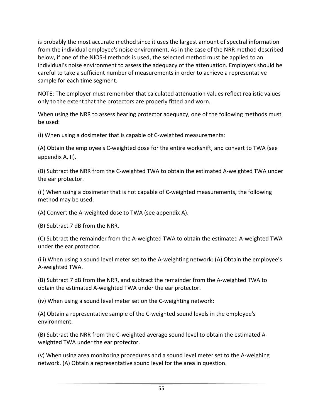is probably the most accurate method since it uses the largest amount of spectral information from the individual employee's noise environment. As in the case of the NRR method described below, if one of the NIOSH methods is used, the selected method must be applied to an individual's noise environment to assess the adequacy of the attenuation. Employers should be careful to take a sufficient number of measurements in order to achieve a representative sample for each time segment.

NOTE: The employer must remember that calculated attenuation values reflect realistic values only to the extent that the protectors are properly fitted and worn.

When using the NRR to assess hearing protector adequacy, one of the following methods must be used:

(i) When using a dosimeter that is capable of C‐weighted measurements:

(A) Obtain the employee's C‐weighted dose for the entire workshift, and convert to TWA (see appendix A, II).

(B) Subtract the NRR from the C‐weighted TWA to obtain the estimated A‐weighted TWA under the ear protector.

(ii) When using a dosimeter that is not capable of C‐weighted measurements, the following method may be used:

(A) Convert the A‐weighted dose to TWA (see appendix A).

(B) Subtract 7 dB from the NRR.

(C) Subtract the remainder from the A‐weighted TWA to obtain the estimated A‐weighted TWA under the ear protector.

(iii) When using a sound level meter set to the A‐weighting network: (A) Obtain the employee's A‐weighted TWA.

(B) Subtract 7 dB from the NRR, and subtract the remainder from the A‐weighted TWA to obtain the estimated A‐weighted TWA under the ear protector.

(iv) When using a sound level meter set on the C‐weighting network:

(A) Obtain a representative sample of the C‐weighted sound levels in the employee's environment.

(B) Subtract the NRR from the C‐weighted average sound level to obtain the estimated A‐ weighted TWA under the ear protector.

(v) When using area monitoring procedures and a sound level meter set to the A‐weighing network. (A) Obtain a representative sound level for the area in question.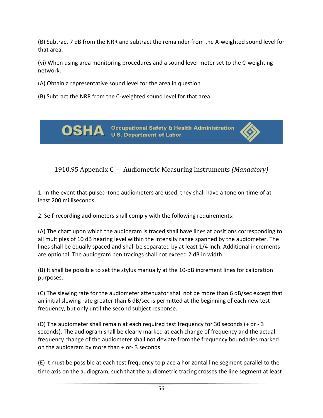(B) Subtract 7 dB from the NRR and subtract the remainder from the A‐weighted sound level for that area.

(vi) When using area monitoring procedures and a sound level meter set to the C‐weighting network:

- (A) Obtain a representative sound level for the area in question
- (B) Subtract the NRR from the C‐weighted sound level for that area

**OSHA** Occupational Safety & Hea **Occupational Safety & Health Administration** 

#### 1910.95 Appendix C — Audiometric Measuring Instruments *(Mandatory)*

1. In the event that pulsed‐tone audiometers are used, they shall have a tone on‐time of at least 200 milliseconds.

2. Self-recording audiometers shall comply with the following requirements:

(A) The chart upon which the audiogram is traced shall have lines at positions corresponding to all multiples of 10 dB hearing level within the intensity range spanned by the audiometer. The lines shall be equally spaced and shall be separated by at least 1/4 inch. Additional increments are optional. The audiogram pen tracings shall not exceed 2 dB in width.

(B) It shall be possible to set the stylus manually at the 10‐dB increment lines for calibration purposes.

(C) The slewing rate for the audiometer attenuator shall not be more than 6 dB/sec except that an initial slewing rate greater than 6 dB/sec is permitted at the beginning of each new test frequency, but only until the second subject response.

(D) The audiometer shall remain at each required test frequency for 30 seconds (+ or ‐ 3 seconds). The audiogram shall be clearly marked at each change of frequency and the actual frequency change of the audiometer shall not deviate from the frequency boundaries marked on the audiogram by more than + or‐ 3 seconds.

(E) It must be possible at each test frequency to place a horizontal line segment parallel to the time axis on the audiogram, such that the audiometric tracing crosses the line segment at least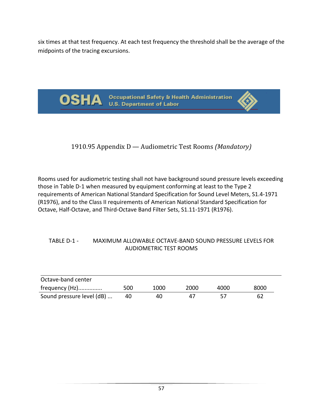six times at that test frequency. At each test frequency the threshold shall be the average of the midpoints of the tracing excursions.



1910.95 Appendix D — Audiometric Test Rooms *(Mandatory)*

Rooms used for audiometric testing shall not have background sound pressure levels exceeding those in Table D‐1 when measured by equipment conforming at least to the Type 2 requirements of American National Standard Specification for Sound Level Meters, S1.4‐1971 (R1976), and to the Class II requirements of American National Standard Specification for Octave, Half‐Octave, and Third‐Octave Band Filter Sets, S1.11‐1971 (R1976).

#### TABLE D-1 - MAXIMUM ALLOWABLE OCTAVE-BAND SOUND PRESSURE LEVELS FOR AUDIOMETRIC TEST ROOMS

| Octave-band center        |     |      |      |      |      |
|---------------------------|-----|------|------|------|------|
|                           | 500 | 1000 | 2000 | 4000 | 8000 |
| Sound pressure level (dB) | 40  | 40   |      |      | 62   |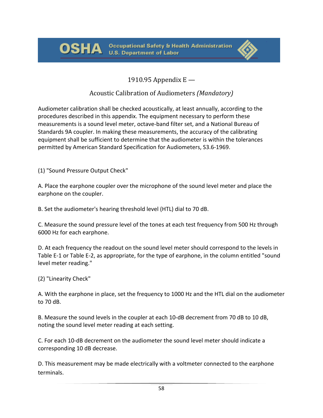

1910.95 Appendix  $E -$ 

#### Acoustic Calibration of Audiometers *(Mandatory)*

Audiometer calibration shall be checked acoustically, at least annually, according to the procedures described in this appendix. The equipment necessary to perform these measurements is a sound level meter, octave‐band filter set, and a National Bureau of Standards 9A coupler. In making these measurements, the accuracy of the calibrating equipment shall be sufficient to determine that the audiometer is within the tolerances permitted by American Standard Specification for Audiometers, S3.6‐1969.

(1) "Sound Pressure Output Check"

A. Place the earphone coupler over the microphone of the sound level meter and place the earphone on the coupler.

B. Set the audiometer's hearing threshold level (HTL) dial to 70 dB.

C. Measure the sound pressure level of the tones at each test frequency from 500 Hz through 6000 Hz for each earphone.

D. At each frequency the readout on the sound level meter should correspond to the levels in Table E‐1 or Table E‐2, as appropriate, for the type of earphone, in the column entitled "sound level meter reading."

(2) "Linearity Check"

A. With the earphone in place, set the frequency to 1000 Hz and the HTL dial on the audiometer to 70 dB.

B. Measure the sound levels in the coupler at each 10-dB decrement from 70 dB to 10 dB, noting the sound level meter reading at each setting.

C. For each 10‐dB decrement on the audiometer the sound level meter should indicate a corresponding 10 dB decrease.

D. This measurement may be made electrically with a voltmeter connected to the earphone terminals.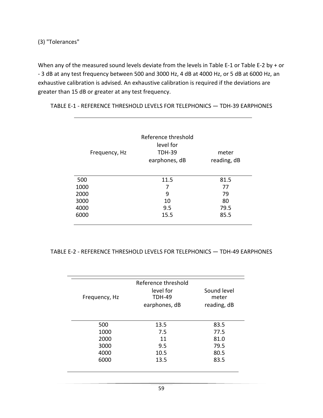#### (3) "Tolerances"

When any of the measured sound levels deviate from the levels in Table E-1 or Table E-2 by + or ‐ 3 dB at any test frequency between 500 and 3000 Hz, 4 dB at 4000 Hz, or 5 dB at 6000 Hz, an exhaustive calibration is advised. An exhaustive calibration is required if the deviations are greater than 15 dB or greater at any test frequency.

| Frequency, Hz | Reference threshold<br>level for<br><b>TDH-39</b><br>earphones, dB | meter<br>reading, dB |
|---------------|--------------------------------------------------------------------|----------------------|
| 500           | 11.5                                                               | 81.5                 |
| 1000          |                                                                    | 77                   |
| 2000          | 9                                                                  | 79                   |
| 3000          | 10                                                                 | 80                   |
| 4000          | 9.5                                                                | 79.5                 |
| 6000          | 15.5                                                               | 85.5                 |
|               |                                                                    |                      |

TABLE E‐1 ‐ REFERENCE THRESHOLD LEVELS FOR TELEPHONICS — TDH‐39 EARPHONES

#### TABLE E‐2 ‐ REFERENCE THRESHOLD LEVELS FOR TELEPHONICS — TDH‐49 EARPHONES

| Frequency, Hz | Reference threshold<br>level for<br><b>TDH-49</b> | Sound level<br>meter |
|---------------|---------------------------------------------------|----------------------|
|               | earphones, dB                                     | reading, dB          |
|               |                                                   |                      |
| 500           | 13.5                                              | 83.5                 |
| 1000          | 7.5                                               | 77.5                 |
| 2000          | 11                                                | 81.0                 |
| 3000          | 9.5                                               | 79.5                 |
| 4000          | 10.5                                              | 80.5                 |
| 6000          | 13.5                                              | 83.5                 |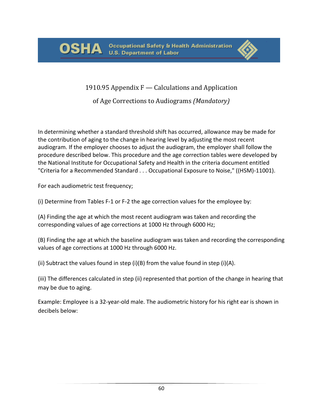

1910.95 Appendix  $F -$  Calculations and Application

of Age Corrections to Audiograms *(Mandatory)*

In determining whether a standard threshold shift has occurred, allowance may be made for the contribution of aging to the change in hearing level by adjusting the most recent audiogram. If the employer chooses to adjust the audiogram, the employer shall follow the procedure described below. This procedure and the age correction tables were developed by the National Institute for Occupational Safety and Health in the criteria document entitled "Criteria for a Recommended Standard . . . Occupational Exposure to Noise," ((HSM)‐11001).

For each audiometric test frequency;

(i) Determine from Tables F‐1 or F‐2 the age correction values for the employee by:

(A) Finding the age at which the most recent audiogram was taken and recording the corresponding values of age corrections at 1000 Hz through 6000 Hz;

(B) Finding the age at which the baseline audiogram was taken and recording the corresponding values of age corrections at 1000 Hz through 6000 Hz.

(ii) Subtract the values found in step (i)(B) from the value found in step (i)(A).

(iii) The differences calculated in step (ii) represented that portion of the change in hearing that may be due to aging.

Example: Employee is a 32‐year‐old male. The audiometric history for his right ear is shown in decibels below: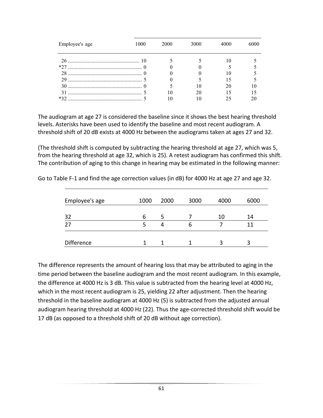| Employee's age | 1000 | 2000 | 3000 |  |
|----------------|------|------|------|--|
|                |      |      |      |  |
| $*27$          |      |      |      |  |
|                |      |      |      |  |
|                |      |      |      |  |
|                |      |      |      |  |
|                |      |      |      |  |
|                |      |      |      |  |

The audiogram at age 27 is considered the baseline since it shows the best hearing threshold levels. Asterisks have been used to identify the baseline and most recent audiogram. A threshold shift of 20 dB exists at 4000 Hz between the audiograms taken at ages 27 and 32.

(The threshold shift is computed by subtracting the hearing threshold at age 27, which was 5, from the hearing threshold at age 32, which is 25). A retest audiogram has confirmed this shift. The contribution of aging to this change in hearing may be estimated in the following manner:

| Employee's age    | 1000 | 2000 | 3000 | 4000 | 6000 |
|-------------------|------|------|------|------|------|
| 32                | 6    | 5    |      | 10   | 14   |
| 27                |      | 4    | b    |      |      |
| <b>Difference</b> |      |      |      | ર    | ર    |

Go to Table F‐1 and find the age correction values (in dB) for 4000 Hz at age 27 and age 32.

The difference represents the amount of hearing loss that may be attributed to aging in the time period between the baseline audiogram and the most recent audiogram. In this example, the difference at 4000 Hz is 3 dB. This value is subtracted from the hearing level at 4000 Hz, which in the most recent audiogram is 25, yielding 22 after adjustment. Then the hearing threshold in the baseline audiogram at 4000 Hz (5) is subtracted from the adjusted annual audiogram hearing threshold at 4000 Hz (22). Thus the age‐corrected threshold shift would be 17 dB (as opposed to a threshold shift of 20 dB without age correction).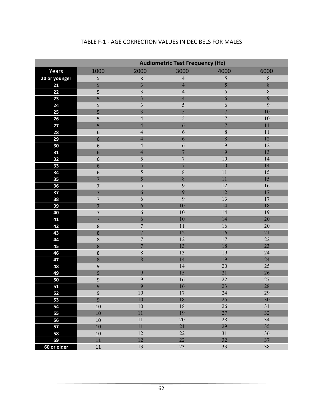#### TABLE F‐1 ‐ AGE CORRECTION VALUES IN DECIBELS FOR MALES

|               |                  |                         | <b>Audiometric Test Frequency (Hz)</b> |                |                |
|---------------|------------------|-------------------------|----------------------------------------|----------------|----------------|
| Years         | 1000             | 2000                    | 3000                                   | 4000           | 6000           |
| 20 or younger | 5                | $\mathsf 3$             | $\overline{\mathcal{A}}$               | 5              | $8\,$          |
| 21            | 5                | $\overline{\mathbf{3}}$ | $\overline{4}$                         | $\overline{5}$ | $\,8\,$        |
| 22            | 5                | $\overline{\mathbf{3}}$ | $\overline{\mathcal{A}}$               | 5              | $\,8\,$        |
| 23            | 5                | $\overline{\mathbf{3}}$ | $\overline{\mathcal{A}}$               | 6              | $\overline{9}$ |
| 24            | 5                | $\overline{3}$          | 5                                      | 6              | 9              |
| 25            | 5                | $\overline{\mathbf{3}}$ | 5                                      | $\overline{7}$ | 10             |
| 26            | 5                | $\overline{4}$          | 5                                      | $\overline{7}$ | 10             |
| 27            | 5                | $\overline{4}$          | 6                                      | $\overline{7}$ | 11             |
| 28            | $\boldsymbol{6}$ | $\overline{4}$          | $\sqrt{6}$                             | $\,$ $\,$      | 11             |
| 29            | $\overline{6}$   | $\overline{4}$          | $\sqrt{6}$                             | $\,$ 8 $\,$    | 12             |
| 30            | 6                | $\overline{4}$          | $\sqrt{6}$                             | 9              | 12             |
| 31            | $\overline{6}$   | $\overline{4}$          | $\overline{7}$                         | 9              | 13             |
| 32            | 6                | 5                       | $\overline{7}$                         | 10             | 14             |
| 33            | $\overline{6}$   | 5                       | $\overline{7}$                         | 10             | 14             |
| 34            | 6                | 5                       | $\,8$                                  | 11             | 15             |
| 35            | $\overline{7}$   | 5                       | 8                                      | 11             | $15\,$         |
| 36            | $\overline{7}$   | $\overline{5}$          | $\boldsymbol{9}$                       | 12             | 16             |
| 37            | $\overline{7}$   | $\sqrt{6}$              | 9                                      | 12             | 17             |
| 38            | $\overline{7}$   | 6                       | 9                                      | 13             | 17             |
| 39            | $\overline{7}$   | 6                       | 10                                     | 14             | 18             |
| 40            | $\overline{7}$   | 6                       | 10                                     | 14             | 19             |
| 41            | $\overline{7}$   | 6                       | 10                                     | 14             | 20             |
| 42            | 8                | $\sqrt{ }$              | $1\,1$                                 | 16             | 20             |
| 43            | 8                | $\overline{7}$          | 12                                     | 16             | 21             |
| 44            | 8                | $\overline{7}$          | 12                                     | 17             | 22             |
| 45            | 8                | $\overline{7}$          | 13                                     | 18             | 23             |
| 46            | 8                | $\,8\,$                 | 13                                     | 19             | 24             |
| 47            | 8                | $\overline{8}$          | 14                                     | 19             | 24             |
| 48            | 9                |                         | 14                                     | 20             | 25             |
| 49            | 9                | 9                       | 15                                     | 21             | 26             |
| 50            | 9                | 9                       | 16                                     | 22             | $27\,$         |
| 51            | 9                | $\overline{9}$          | 16                                     | 23             | $28\,$         |
| 52            | 9                | 10                      | 17                                     | 24             | 29             |
| 53            | $\mathsf 9$      | 10                      | $1\,8$                                 | 25             | 30             |
| 54            | 10               | 10                      | 18                                     | 26             | 31             |
| 55            | 10               | 11                      | 19                                     | $27\,$         | 32             |
| 56            | 10               | 11                      | 20                                     | $28\,$         | 34             |
| 57            | 10               | 11                      | 21                                     | 29             | 35             |
| 58            | 10               | 12                      | 22                                     | 31             | 36             |
| 59            | $11\,$           | 12                      | $22\,$                                 | 32             | 37             |
| 60 or older   | $11\,$           | 13                      | 23                                     | 33             | 38             |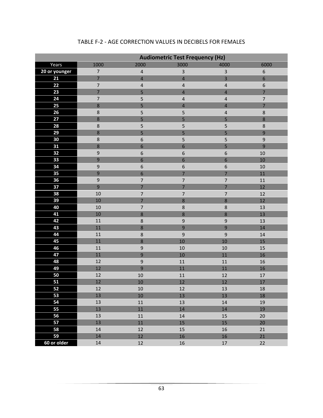|               |                |                         | <b>Audiometric Test Frequency (Hz)</b> |                         |                          |
|---------------|----------------|-------------------------|----------------------------------------|-------------------------|--------------------------|
| Years         | 1000           | 2000                    | 3000                                   | 4000                    | 6000                     |
| 20 or younger | $\overline{7}$ | $\overline{\mathbf{4}}$ | $\mathsf 3$                            | 3                       | $\boldsymbol{6}$         |
| 21            | $\overline{7}$ | $\overline{a}$          | $\overline{\mathbf{4}}$                | $\overline{\mathbf{3}}$ | $\boldsymbol{6}$         |
| 22            | $\overline{7}$ | $\overline{\mathbf{4}}$ | $\overline{\mathbf{4}}$                | 4                       | $\boldsymbol{6}$         |
| 23            | $\overline{7}$ | $\overline{5}$          | $\overline{\mathbf{4}}$                | $\overline{a}$          | $\overline{7}$           |
| 24            | $\overline{7}$ | 5                       | $\sqrt{4}$                             | $\overline{\mathbf{4}}$ | $\overline{\mathcal{I}}$ |
| 25            | $\bf 8$        | 5                       | $\overline{\mathbf{4}}$                | $\overline{a}$          | 7                        |
| 26            | 8              | 5                       | 5                                      | $\overline{\mathbf{4}}$ | $\bf 8$                  |
| 27            | $\bf8$         | 5                       | 5                                      | 5                       | $\bf 8$                  |
| 28            | 8              | 5                       | 5                                      | 5                       | $\bf 8$                  |
| 29            | 8              | $\overline{\mathbf{5}}$ | 5                                      | 5                       | $\mathsf 9$              |
| 30            | 8              | $\boldsymbol{6}$        | 5                                      | 5                       | $\mathsf 9$              |
| 31            | 8              | 6                       | $\sqrt{6}$                             | 5                       | 9                        |
| 32            | 9              | $\boldsymbol{6}$        | $\boldsymbol{6}$                       | $\boldsymbol{6}$        | 10                       |
| 33            | 9              | 6                       | $\overline{6}$                         | 6                       | 10                       |
| 34            | 9              | $\sqrt{6}$              | $\boldsymbol{6}$                       | $6\phantom{1}6$         | 10                       |
| 35            | 9              | 6                       | $\overline{7}$                         | $\overline{7}$          | 11                       |
| 36            | 9              | $\overline{7}$          | $\overline{7}$                         | $\overline{7}$          | 11                       |
| 37            | 9              | $\overline{7}$          | $\overline{7}$                         | $\overline{7}$          | 12                       |
| 38            | 10             | $\overline{7}$          | $\overline{7}$                         | $\overline{7}$          | 12                       |
| 39            | 10             | $\overline{7}$          | $\bf 8$                                | 8                       | 12                       |
| 40            | 10             | $\overline{7}$          | 8                                      | 8                       | 13                       |
| 41            | 10             | $\bf 8$                 | $\bf 8$                                | $\bf 8$                 | 13                       |
| 42            | 11             | 8                       | $\overline{9}$                         | $\overline{9}$          | 13                       |
| 43            | 11             | $\bf 8$                 | $\overline{9}$                         | $\overline{9}$          | 14                       |
| 44            | $11\,$         | 8                       | 9                                      | 9                       | 14                       |
| 45            | 11             | $\bf 8$                 | 10                                     | 10                      | 15                       |
| 46            | $11\,$         | 9                       | 10                                     | 10                      | 15                       |
| 47            | $11\,$         | $\mathsf 9$             | 10                                     | 11                      | 16                       |
| 48            | 12             | 9                       | 11                                     | 11                      | 16                       |
| 49            | 12             | 9                       | 11                                     | 11                      | 16                       |
| 50            | 12             | 10                      | 11                                     | 12                      | $17\,$                   |
| 51            | 12             | 10                      | 12                                     | 12                      | 17                       |
| 52            | $12\,$         | $10\,$                  | $12\,$                                 | 13                      | 18                       |
| 53            | 13             | $10\,$                  | $13\,$                                 | 13                      | 18                       |
| 54            | 13             | $11\,$                  | 13                                     | $14\,$                  | $19\,$                   |
| 55            | $13\,$         | $11\,$                  | 14                                     | 14                      | 19                       |
| 56            | 13             | $11\,$                  | 14                                     | 15                      | 20                       |
| 57            | 13             | 11                      | 15                                     | $15\,$                  | 20                       |
| 58            | $14\,$         | 12                      | 15                                     | $16\,$                  | 21                       |
| 59            | 14             | 12                      | 16                                     | $16\,$                  | 21                       |
| 60 or older   | $14\,$         | 12                      | 16                                     | $17\,$                  | 22                       |

#### TABLE F‐2 ‐ AGE CORRECTION VALUES IN DECIBELS FOR FEMALES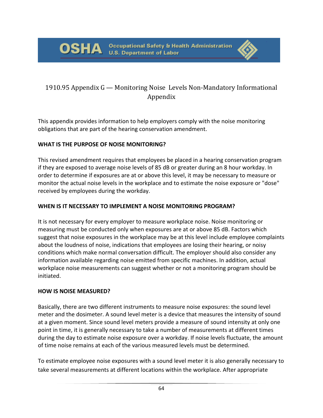

#### 1910.95 Appendix G — Monitoring Noise Levels Non-Mandatory Informational Appendix

This appendix provides information to help employers comply with the noise monitoring obligations that are part of the hearing conservation amendment.

#### **WHAT IS THE PURPOSE OF NOISE MONITORING?**

This revised amendment requires that employees be placed in a hearing conservation program if they are exposed to average noise levels of 85 dB or greater during an 8 hour workday. In order to determine if exposures are at or above this level, it may be necessary to measure or monitor the actual noise levels in the workplace and to estimate the noise exposure or "dose" received by employees during the workday.

#### **WHEN IS IT NECESSARY TO IMPLEMENT A NOISE MONITORING PROGRAM?**

It is not necessary for every employer to measure workplace noise. Noise monitoring or measuring must be conducted only when exposures are at or above 85 dB. Factors which suggest that noise exposures in the workplace may be at this level include employee complaints about the loudness of noise, indications that employees are losing their hearing, or noisy conditions which make normal conversation difficult. The employer should also consider any information available regarding noise emitted from specific machines. In addition, actual workplace noise measurements can suggest whether or not a monitoring program should be initiated.

#### **HOW IS NOISE MEASURED?**

Basically, there are two different instruments to measure noise exposures: the sound level meter and the dosimeter. A sound level meter is a device that measures the intensity of sound at a given moment. Since sound level meters provide a measure of sound intensity at only one point in time, it is generally necessary to take a number of measurements at different times during the day to estimate noise exposure over a workday. If noise levels fluctuate, the amount of time noise remains at each of the various measured levels must be determined.

To estimate employee noise exposures with a sound level meter it is also generally necessary to take several measurements at different locations within the workplace. After appropriate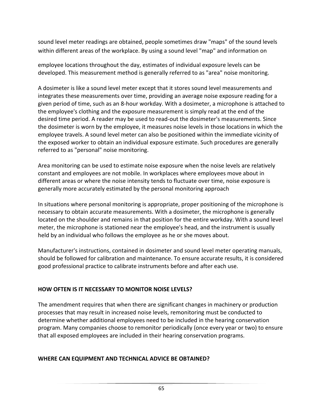sound level meter readings are obtained, people sometimes draw "maps" of the sound levels within different areas of the workplace. By using a sound level "map" and information on

employee locations throughout the day, estimates of individual exposure levels can be developed. This measurement method is generally referred to as "area" noise monitoring.

A dosimeter is like a sound level meter except that it stores sound level measurements and integrates these measurements over time, providing an average noise exposure reading for a given period of time, such as an 8‐hour workday. With a dosimeter, a microphone is attached to the employee's clothing and the exposure measurement is simply read at the end of the desired time period. A reader may be used to read‐out the dosimeter's measurements. Since the dosimeter is worn by the employee, it measures noise levels in those locations in which the employee travels. A sound level meter can also be positioned within the immediate vicinity of the exposed worker to obtain an individual exposure estimate. Such procedures are generally referred to as "personal" noise monitoring.

Area monitoring can be used to estimate noise exposure when the noise levels are relatively constant and employees are not mobile. In workplaces where employees move about in different areas or where the noise intensity tends to fluctuate over time, noise exposure is generally more accurately estimated by the personal monitoring approach

In situations where personal monitoring is appropriate, proper positioning of the microphone is necessary to obtain accurate measurements. With a dosimeter, the microphone is generally located on the shoulder and remains in that position for the entire workday. With a sound level meter, the microphone is stationed near the employee's head, and the instrument is usually held by an individual who follows the employee as he or she moves about.

Manufacturer's instructions, contained in dosimeter and sound level meter operating manuals, should be followed for calibration and maintenance. To ensure accurate results, it is considered good professional practice to calibrate instruments before and after each use.

#### **HOW OFTEN IS IT NECESSARY TO MONITOR NOISE LEVELS?**

The amendment requires that when there are significant changes in machinery or production processes that may result in increased noise levels, remonitoring must be conducted to determine whether additional employees need to be included in the hearing conservation program. Many companies choose to remonitor periodically (once every year or two) to ensure that all exposed employees are included in their hearing conservation programs.

#### **WHERE CAN EQUIPMENT AND TECHNICAL ADVICE BE OBTAINED?**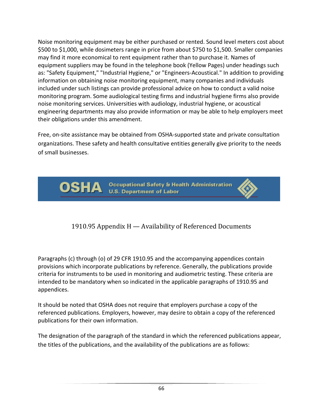Noise monitoring equipment may be either purchased or rented. Sound level meters cost about \$500 to \$1,000, while dosimeters range in price from about \$750 to \$1,500. Smaller companies may find it more economical to rent equipment rather than to purchase it. Names of equipment suppliers may be found in the telephone book (Yellow Pages) under headings such as: "Safety Equipment," "Industrial Hygiene," or "Engineers‐Acoustical." In addition to providing information on obtaining noise monitoring equipment, many companies and individuals included under such listings can provide professional advice on how to conduct a valid noise monitoring program. Some audiological testing firms and industrial hygiene firms also provide noise monitoring services. Universities with audiology, industrial hygiene, or acoustical engineering departments may also provide information or may be able to help employers meet their obligations under this amendment.

Free, on‐site assistance may be obtained from OSHA‐supported state and private consultation organizations. These safety and health consultative entities generally give priority to the needs of small businesses.



#### 1910.95 Appendix H — Availability of Referenced Documents

Paragraphs (c) through (o) of 29 CFR 1910.95 and the accompanying appendices contain provisions which incorporate publications by reference. Generally, the publications provide criteria for instruments to be used in monitoring and audiometric testing. These criteria are intended to be mandatory when so indicated in the applicable paragraphs of 1910.95 and appendices.

It should be noted that OSHA does not require that employers purchase a copy of the referenced publications. Employers, however, may desire to obtain a copy of the referenced publications for their own information.

The designation of the paragraph of the standard in which the referenced publications appear, the titles of the publications, and the availability of the publications are as follows: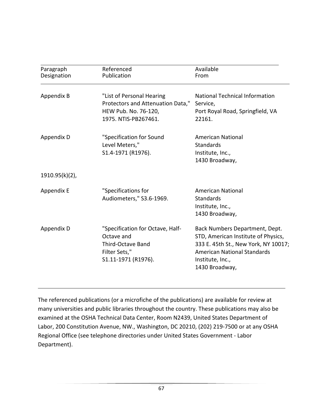| Paragraph<br>Designation | Referenced<br>Publication                                                                                          | Available<br>From                                                                                                                                                                         |
|--------------------------|--------------------------------------------------------------------------------------------------------------------|-------------------------------------------------------------------------------------------------------------------------------------------------------------------------------------------|
| Appendix B               | "List of Personal Hearing<br>Protectors and Attenuation Data,"<br>HEW Pub. No. 76-120,<br>1975. NTIS-PB267461.     | <b>National Technical Information</b><br>Service,<br>Port Royal Road, Springfield, VA<br>22161.                                                                                           |
| Appendix D               | "Specification for Sound<br>Level Meters,"<br>S1.4-1971 (R1976).                                                   | American National<br><b>Standards</b><br>Institute, Inc.,<br>1430 Broadway,                                                                                                               |
| 1910.95(k)(2),           |                                                                                                                    |                                                                                                                                                                                           |
| Appendix E               | "Specifications for<br>Audiometers," S3.6-1969.                                                                    | <b>American National</b><br>Standards<br>Institute, Inc.,<br>1430 Broadway,                                                                                                               |
| Appendix D               | "Specification for Octave, Half-<br>Octave and<br><b>Third-Octave Band</b><br>Filter Sets,"<br>S1.11-1971 (R1976). | Back Numbers Department, Dept.<br>STD, American Institute of Physics,<br>333 E. 45th St., New York, NY 10017;<br><b>American National Standards</b><br>Institute, Inc.,<br>1430 Broadway, |

The referenced publications (or a microfiche of the publications) are available for review at many universities and public libraries throughout the country. These publications may also be examined at the OSHA Technical Data Center, Room N2439, United States Department of Labor, 200 Constitution Avenue, NW., Washington, DC 20210, (202) 219‐7500 or at any OSHA Regional Office (see telephone directories under United States Government ‐ Labor Department).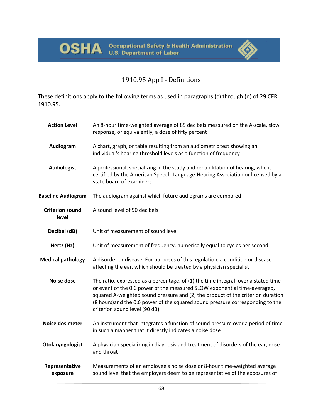

These definitions apply to the following terms as used in paragraphs (c) through (n) of 29 CFR 1910.95.

| <b>Action Level</b>             | An 8-hour time-weighted average of 85 decibels measured on the A-scale, slow<br>response, or equivalently, a dose of fifty percent                                                                                                                                                                                                                                    |
|---------------------------------|-----------------------------------------------------------------------------------------------------------------------------------------------------------------------------------------------------------------------------------------------------------------------------------------------------------------------------------------------------------------------|
| Audiogram                       | A chart, graph, or table resulting from an audiometric test showing an<br>individual's hearing threshold levels as a function of frequency                                                                                                                                                                                                                            |
| <b>Audiologist</b>              | A professional, specializing in the study and rehabilitation of hearing, who is<br>certified by the American Speech-Language-Hearing Association or licensed by a<br>state board of examiners                                                                                                                                                                         |
| <b>Baseline Audiogram</b>       | The audiogram against which future audiograms are compared                                                                                                                                                                                                                                                                                                            |
| <b>Criterion sound</b><br>level | A sound level of 90 decibels                                                                                                                                                                                                                                                                                                                                          |
| Decibel (dB)                    | Unit of measurement of sound level                                                                                                                                                                                                                                                                                                                                    |
| Hertz (Hz)                      | Unit of measurement of frequency, numerically equal to cycles per second                                                                                                                                                                                                                                                                                              |
| <b>Medical pathology</b>        | A disorder or disease. For purposes of this regulation, a condition or disease<br>affecting the ear, which should be treated by a physician specialist                                                                                                                                                                                                                |
| <b>Noise dose</b>               | The ratio, expressed as a percentage, of (1) the time integral, over a stated time<br>or event of the 0.6 power of the measured SLOW exponential time-averaged,<br>squared A-weighted sound pressure and (2) the product of the criterion duration<br>(8 hours) and the 0.6 power of the squared sound pressure corresponding to the<br>criterion sound level (90 dB) |
| Noise dosimeter                 | An instrument that integrates a function of sound pressure over a period of time<br>in such a manner that it directly indicates a noise dose                                                                                                                                                                                                                          |
| Otolaryngologist                | A physician specializing in diagnosis and treatment of disorders of the ear, nose<br>and throat                                                                                                                                                                                                                                                                       |
| Representative<br>exposure      | Measurements of an employee's noise dose or 8-hour time-weighted average<br>sound level that the employers deem to be representative of the exposures of                                                                                                                                                                                                              |